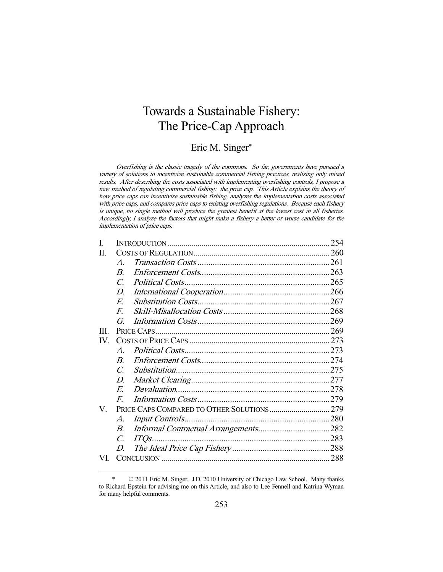# Towards a Sustainable Fishery: The Price-Cap Approach

# Eric M. Singer\*

Overfishing is the classic tragedy of the commons. So far, governments have pursued a variety of solutions to incentivize sustainable commercial fishing practices, realizing only mixed results. After describing the costs associated with implementing overfishing controls, I propose a new method of regulating commercial fishing: the price cap. This Article explains the theory of how price caps can incentivize sustainable fishing, analyzes the implementation costs associated with price caps, and compares price caps to existing overfishing regulations. Because each fishery is unique, no single method will produce the greatest benefit at the lowest cost in all fisheries. Accordingly, I analyze the factors that might make a fishery a better or worse candidate for the implementation of price caps.

| I.                      |                  |        |  |
|-------------------------|------------------|--------|--|
| П.                      |                  |        |  |
|                         | $\boldsymbol{A}$ |        |  |
|                         | $\boldsymbol{B}$ |        |  |
|                         | $\mathcal{C}$    |        |  |
|                         | D.               |        |  |
|                         | E.               |        |  |
|                         | F.               |        |  |
|                         | G.               |        |  |
| Ш                       |                  |        |  |
| $\mathbf{I} \mathbf{V}$ |                  |        |  |
|                         | $\boldsymbol{A}$ |        |  |
|                         | $\boldsymbol{B}$ |        |  |
|                         | $\mathcal{C}$    |        |  |
|                         | D.               |        |  |
|                         | E.               |        |  |
|                         | $F_{\cdot}$      |        |  |
| V.                      |                  |        |  |
|                         | $\mathcal{A}.$   |        |  |
|                         | В.               |        |  |
|                         | $\overline{C}$   | $ITOs$ |  |
|                         | D.               |        |  |
| VI.                     |                  |        |  |
|                         |                  |        |  |

 <sup>\* © 2011</sup> Eric M. Singer. J.D. 2010 University of Chicago Law School. Many thanks to Richard Epstein for advising me on this Article, and also to Lee Fennell and Katrina Wyman for many helpful comments.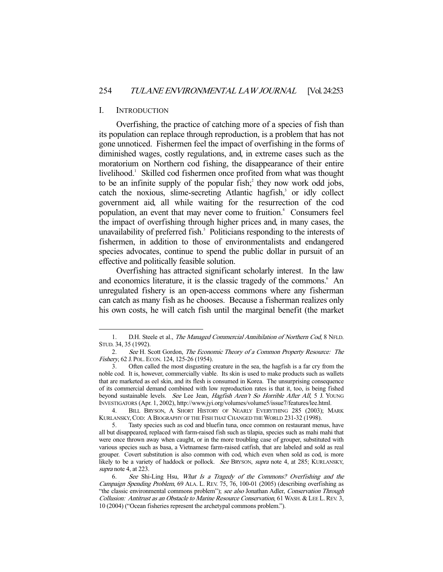#### I. INTRODUCTION

-

 Overfishing, the practice of catching more of a species of fish than its population can replace through reproduction, is a problem that has not gone unnoticed. Fishermen feel the impact of overfishing in the forms of diminished wages, costly regulations, and, in extreme cases such as the moratorium on Northern cod fishing, the disappearance of their entire livelihood.<sup>1</sup> Skilled cod fishermen once profited from what was thought to be an infinite supply of the popular fish; $\hat{i}$  they now work odd jobs,  $catch$  the noxious, slime-secreting Atlantic hagfish, $3$  or idly collect government aid, all while waiting for the resurrection of the cod population, an event that may never come to fruition.<sup>4</sup> Consumers feel the impact of overfishing through higher prices and, in many cases, the unavailability of preferred fish.<sup>5</sup> Politicians responding to the interests of fishermen, in addition to those of environmentalists and endangered species advocates, continue to spend the public dollar in pursuit of an effective and politically feasible solution.

 Overfishing has attracted significant scholarly interest. In the law and economics literature, it is the classic tragedy of the commons.<sup>6</sup> An unregulated fishery is an open-access commons where any fisherman can catch as many fish as he chooses. Because a fisherman realizes only his own costs, he will catch fish until the marginal benefit (the market

<sup>1.</sup> D.H. Steele et al., The Managed Commercial Annihilation of Northern Cod, 8 NFLD. STUD. 34, 35 (1992).

 <sup>2.</sup> See H. Scott Gordon, The Economic Theory of a Common Property Resource: The Fishery, 62 J. POL. ECON. 124, 125-26 (1954).

 <sup>3.</sup> Often called the most disgusting creature in the sea, the hagfish is a far cry from the noble cod. It is, however, commercially viable. Its skin is used to make products such as wallets that are marketed as eel skin, and its flesh is consumed in Korea. The unsurprising consequence of its commercial demand combined with low reproduction rates is that it, too, is being fished beyond sustainable levels. See Lee Jean, Hagfish Aren't So Horrible After All, 5 J. YOUNG INVESTIGATORS (Apr. 1, 2002), http://www.jyi.org/volumes/volume5/issue7/features/lee.html.

 <sup>4.</sup> BILL BRYSON, A SHORT HISTORY OF NEARLY EVERYTHING 285 (2003); MARK KURLANSKY,COD: A BIOGRAPHY OF THE FISH THAT CHANGED THE WORLD 231-32 (1998).

 <sup>5.</sup> Tasty species such as cod and bluefin tuna, once common on restaurant menus, have all but disappeared, replaced with farm-raised fish such as tilapia, species such as mahi mahi that were once thrown away when caught, or in the more troubling case of grouper, substituted with various species such as basa, a Vietnamese farm-raised catfish, that are labeled and sold as real grouper. Covert substitution is also common with cod, which even when sold as cod, is more likely to be a variety of haddock or pollock. See BRYSON, supra note 4, at 285; KURLANSKY, supra note 4, at 223.

 <sup>6.</sup> See Shi-Ling Hsu, What Is a Tragedy of the Commons? Overfishing and the Campaign Spending Problem, 69 ALA. L. REV. 75, 76, 100-01 (2005) (describing overfishing as "the classic environmental commons problem"); see also Jonathan Adler, Conservation Through Collusion: Antitrust as an Obstacle to Marine Resource Conservation, 61 WASH. & LEE L. REV. 3, 10 (2004) ("Ocean fisheries represent the archetypal commons problem.").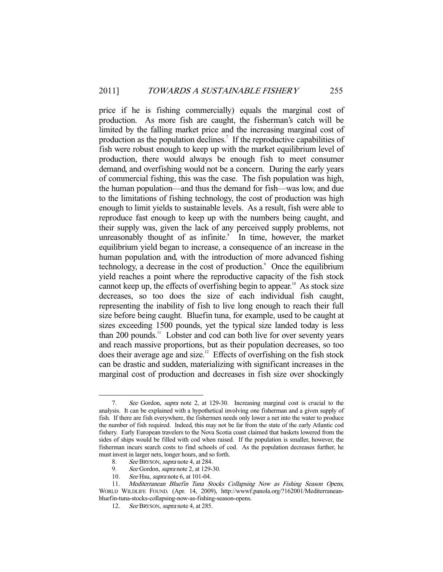price if he is fishing commercially) equals the marginal cost of production. As more fish are caught, the fisherman's catch will be limited by the falling market price and the increasing marginal cost of production as the population declines.<sup>7</sup> If the reproductive capabilities of fish were robust enough to keep up with the market equilibrium level of production, there would always be enough fish to meet consumer demand, and overfishing would not be a concern. During the early years of commercial fishing, this was the case. The fish population was high, the human population—and thus the demand for fish—was low, and due to the limitations of fishing technology, the cost of production was high enough to limit yields to sustainable levels. As a result, fish were able to reproduce fast enough to keep up with the numbers being caught, and their supply was, given the lack of any perceived supply problems, not unreasonably thought of as infinite. $\delta$  In time, however, the market equilibrium yield began to increase, a consequence of an increase in the human population and, with the introduction of more advanced fishing technology, a decrease in the cost of production.<sup>9</sup> Once the equilibrium yield reaches a point where the reproductive capacity of the fish stock cannot keep up, the effects of overfishing begin to appear.<sup>10</sup> As stock size decreases, so too does the size of each individual fish caught, representing the inability of fish to live long enough to reach their full size before being caught. Bluefin tuna, for example, used to be caught at sizes exceeding 1500 pounds, yet the typical size landed today is less than 200 pounds.<sup>11</sup> Lobster and cod can both live for over seventy years and reach massive proportions, but as their population decreases, so too does their average age and size.<sup>12</sup> Effects of overfishing on the fish stock can be drastic and sudden, materializing with significant increases in the marginal cost of production and decreases in fish size over shockingly

 <sup>7.</sup> See Gordon, supra note 2, at 129-30. Increasing marginal cost is crucial to the analysis. It can be explained with a hypothetical involving one fisherman and a given supply of fish. If there are fish everywhere, the fishermen needs only lower a net into the water to produce the number of fish required. Indeed, this may not be far from the state of the early Atlantic cod fishery. Early European travelers to the Nova Scotia coast claimed that baskets lowered from the sides of ships would be filled with cod when raised. If the population is smaller, however, the fisherman incurs search costs to find schools of cod. As the population decreases further, he must invest in larger nets, longer hours, and so forth.

<sup>8.</sup> See BRYSON, *supra* note 4, at 284.<br>9. See Gordon. *supra* note 2, at 129-

See Gordon, supra note 2, at 129-30.

<sup>10.</sup> See Hsu, *supra* note 6, at 101-04.

<sup>11.</sup> Mediterranean Bluefin Tuna Stocks Collapsing Now as Fishing Season Opens, WORLD WILDLIFE FOUND. (Apr. 14, 2009), http://wwwf.panola.org/?162001/Mediterraneanbluefin-tuna-stocks-collapsing-now-as-fishing-season-opens.

<sup>12.</sup> See BRYSON, *supra* note 4, at 285.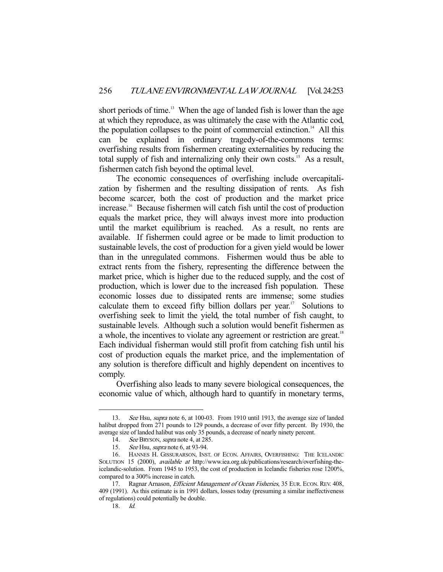short periods of time.<sup>13</sup> When the age of landed fish is lower than the age at which they reproduce, as was ultimately the case with the Atlantic cod, the population collapses to the point of commercial extinction.<sup>14</sup> All this can be explained in ordinary tragedy-of-the-commons terms: overfishing results from fishermen creating externalities by reducing the total supply of fish and internalizing only their own costs.<sup>15</sup> As a result, fishermen catch fish beyond the optimal level.

 The economic consequences of overfishing include overcapitalization by fishermen and the resulting dissipation of rents. As fish become scarcer, both the cost of production and the market price increase.<sup>16</sup> Because fishermen will catch fish until the cost of production equals the market price, they will always invest more into production until the market equilibrium is reached. As a result, no rents are available. If fishermen could agree or be made to limit production to sustainable levels, the cost of production for a given yield would be lower than in the unregulated commons. Fishermen would thus be able to extract rents from the fishery, representing the difference between the market price, which is higher due to the reduced supply, and the cost of production, which is lower due to the increased fish population. These economic losses due to dissipated rents are immense; some studies calculate them to exceed fifty billion dollars per year.<sup>17</sup> Solutions to overfishing seek to limit the yield, the total number of fish caught, to sustainable levels. Although such a solution would benefit fishermen as a whole, the incentives to violate any agreement or restriction are great.<sup>18</sup> Each individual fisherman would still profit from catching fish until his cost of production equals the market price, and the implementation of any solution is therefore difficult and highly dependent on incentives to comply.

 Overfishing also leads to many severe biological consequences, the economic value of which, although hard to quantify in monetary terms,

<sup>13.</sup> See Hsu, supra note 6, at 100-03. From 1910 until 1913, the average size of landed halibut dropped from 271 pounds to 129 pounds, a decrease of over fifty percent. By 1930, the average size of landed halibut was only 35 pounds, a decrease of nearly ninety percent.

<sup>14.</sup> See BRYSON, supra note 4, at 285.

<sup>15.</sup> See Hsu, *supra* note 6, at 93-94.

 <sup>16.</sup> HANNES H. GISSURARSON, INST. OF ECON. AFFAIRS, OVERFISHING: THE ICELANDIC SOLUTION 15 (2000), *available at* http://www.iea.org.uk/publications/research/overfishing-theicelandic-solution. From 1945 to 1953, the cost of production in Icelandic fisheries rose 1200%, compared to a 300% increase in catch.

<sup>17.</sup> Ragnar Arnason, *Efficient Management of Ocean Fisheries*, 35 EUR. ECON. REV. 408, 409 (1991). As this estimate is in 1991 dollars, losses today (presuming a similar ineffectiveness of regulations) could potentially be double.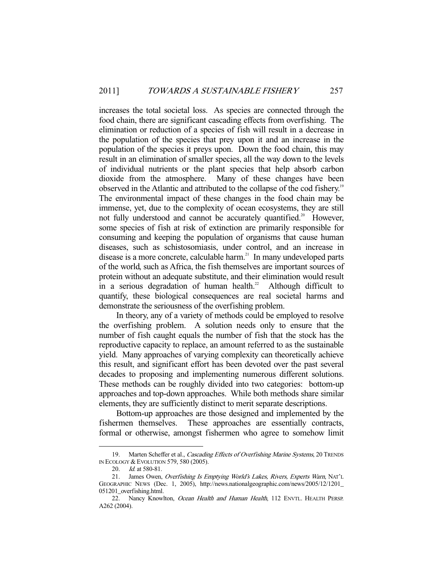increases the total societal loss. As species are connected through the food chain, there are significant cascading effects from overfishing. The elimination or reduction of a species of fish will result in a decrease in the population of the species that prey upon it and an increase in the population of the species it preys upon. Down the food chain, this may result in an elimination of smaller species, all the way down to the levels of individual nutrients or the plant species that help absorb carbon dioxide from the atmosphere. Many of these changes have been observed in the Atlantic and attributed to the collapse of the cod fishery.<sup>19</sup> The environmental impact of these changes in the food chain may be immense, yet, due to the complexity of ocean ecosystems, they are still not fully understood and cannot be accurately quantified.<sup>20</sup> However, some species of fish at risk of extinction are primarily responsible for consuming and keeping the population of organisms that cause human diseases, such as schistosomiasis, under control, and an increase in disease is a more concrete, calculable harm.<sup>21</sup> In many undeveloped parts of the world, such as Africa, the fish themselves are important sources of protein without an adequate substitute, and their elimination would result in a serious degradation of human health.<sup>22</sup> Although difficult to quantify, these biological consequences are real societal harms and demonstrate the seriousness of the overfishing problem.

 In theory, any of a variety of methods could be employed to resolve the overfishing problem. A solution needs only to ensure that the number of fish caught equals the number of fish that the stock has the reproductive capacity to replace, an amount referred to as the sustainable yield. Many approaches of varying complexity can theoretically achieve this result, and significant effort has been devoted over the past several decades to proposing and implementing numerous different solutions. These methods can be roughly divided into two categories: bottom-up approaches and top-down approaches. While both methods share similar elements, they are sufficiently distinct to merit separate descriptions.

 Bottom-up approaches are those designed and implemented by the fishermen themselves. These approaches are essentially contracts, formal or otherwise, amongst fishermen who agree to somehow limit

<sup>19.</sup> Marten Scheffer et al., Cascading Effects of Overfishing Marine Systems, 20 TRENDS IN ECOLOGY & EVOLUTION 579, 580 (2005).

<sup>20.</sup> *Id.* at 580-81.

<sup>21.</sup> James Owen, Overfishing Is Emptying World's Lakes, Rivers, Experts Warn, NAT'L GEOGRAPHIC NEWS (Dec. 1, 2005), http://news.nationalgeographic.com/news/2005/12/1201\_ 051201\_overfishing.html.

<sup>22.</sup> Nancy Knowlton, *Ocean Health and Human Health*, 112 ENVTL. HEALTH PERSP. A262 (2004).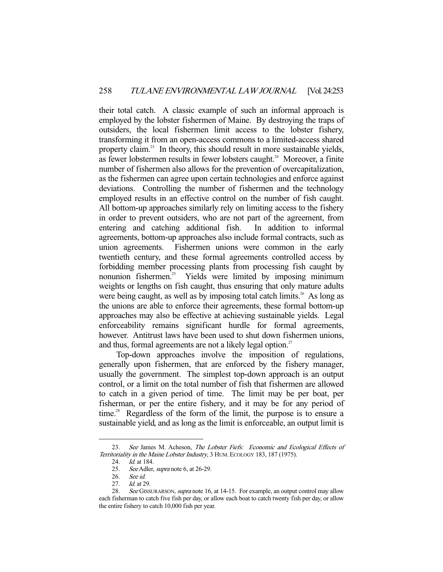their total catch. A classic example of such an informal approach is employed by the lobster fishermen of Maine. By destroying the traps of outsiders, the local fishermen limit access to the lobster fishery, transforming it from an open-access commons to a limited-access shared property claim.<sup>23</sup> In theory, this should result in more sustainable yields, as fewer lobstermen results in fewer lobsters caught.<sup>24</sup> Moreover, a finite number of fishermen also allows for the prevention of overcapitalization, as the fishermen can agree upon certain technologies and enforce against deviations. Controlling the number of fishermen and the technology employed results in an effective control on the number of fish caught. All bottom-up approaches similarly rely on limiting access to the fishery in order to prevent outsiders, who are not part of the agreement, from entering and catching additional fish. In addition to informal agreements, bottom-up approaches also include formal contracts, such as union agreements. Fishermen unions were common in the early twentieth century, and these formal agreements controlled access by forbidding member processing plants from processing fish caught by nonunion fishermen.<sup>25</sup> Yields were limited by imposing minimum weights or lengths on fish caught, thus ensuring that only mature adults were being caught, as well as by imposing total catch limits.<sup>26</sup> As long as the unions are able to enforce their agreements, these formal bottom-up approaches may also be effective at achieving sustainable yields. Legal enforceability remains significant hurdle for formal agreements, however. Antitrust laws have been used to shut down fishermen unions, and thus, formal agreements are not a likely legal option.<sup>27</sup>

 Top-down approaches involve the imposition of regulations, generally upon fishermen, that are enforced by the fishery manager, usually the government. The simplest top-down approach is an output control, or a limit on the total number of fish that fishermen are allowed to catch in a given period of time. The limit may be per boat, per fisherman, or per the entire fishery, and it may be for any period of time.<sup>28</sup> Regardless of the form of the limit, the purpose is to ensure a sustainable yield, and as long as the limit is enforceable, an output limit is

<sup>23.</sup> See James M. Acheson, The Lobster Fiefs: Economic and Ecological Effects of Territoriality in the Maine Lobster Industry, 3 HUM. ECOLOGY 183, 187 (1975).

<sup>24.</sup> *Id.* at 184.

<sup>25.</sup> See Adler, *supra* note 6, at 26-29.

<sup>26.</sup> See id.<br>27. Id. at 2

Id. at 29.

<sup>28.</sup> See GISSURARSON, supra note 16, at 14-15. For example, an output control may allow each fisherman to catch five fish per day, or allow each boat to catch twenty fish per day, or allow the entire fishery to catch 10,000 fish per year.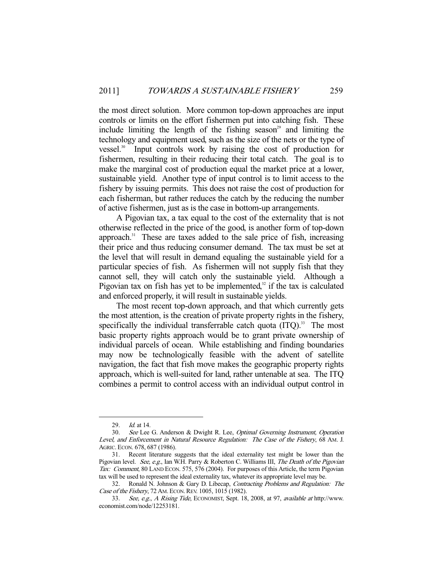the most direct solution. More common top-down approaches are input controls or limits on the effort fishermen put into catching fish. These include limiting the length of the fishing season<sup>29</sup> and limiting the technology and equipment used, such as the size of the nets or the type of vessel. $30^\circ$  Input controls work by raising the cost of production for fishermen, resulting in their reducing their total catch. The goal is to make the marginal cost of production equal the market price at a lower, sustainable yield. Another type of input control is to limit access to the fishery by issuing permits. This does not raise the cost of production for each fisherman, but rather reduces the catch by the reducing the number of active fishermen, just as is the case in bottom-up arrangements.

 A Pigovian tax, a tax equal to the cost of the externality that is not otherwise reflected in the price of the good, is another form of top-down approach.<sup>31</sup> These are taxes added to the sale price of fish, increasing their price and thus reducing consumer demand. The tax must be set at the level that will result in demand equaling the sustainable yield for a particular species of fish. As fishermen will not supply fish that they cannot sell, they will catch only the sustainable yield. Although a Pigovian tax on fish has yet to be implemented, $32$  if the tax is calculated and enforced properly, it will result in sustainable yields.

 The most recent top-down approach, and that which currently gets the most attention, is the creation of private property rights in the fishery, specifically the individual transferrable catch quota  $(ITO)$ <sup>33</sup>. The most basic property rights approach would be to grant private ownership of individual parcels of ocean. While establishing and finding boundaries may now be technologically feasible with the advent of satellite navigation, the fact that fish move makes the geographic property rights approach, which is well-suited for land, rather untenable at sea. The ITQ combines a permit to control access with an individual output control in

<sup>29.</sup> *Id.* at 14.

<sup>30.</sup> See Lee G. Anderson & Dwight R. Lee, Optimal Governing Instrument, Operation Level, and Enforcement in Natural Resource Regulation: The Case of the Fishery, 68 AM. J. AGRIC. ECON. 678, 687 (1986).

 <sup>31.</sup> Recent literature suggests that the ideal externality test might be lower than the Pigovian level. See, e.g., Ian W.H. Parry & Roberton C. Williams III, The Death of the Pigovian Tax: Comment, 80 LAND ECON. 575, 576 (2004). For purposes of this Article, the term Pigovian tax will be used to represent the ideal externality tax, whatever its appropriate level may be.

<sup>32.</sup> Ronald N. Johnson & Gary D. Libecap, Contracting Problems and Regulation: The Case of the Fishery, 72 AM. ECON. REV. 1005, 1015 (1982).

 <sup>33.</sup> See, e.g., A Rising Tide, ECONOMIST, Sept. 18, 2008, at 97, available at http://www. economist.com/node/12253181.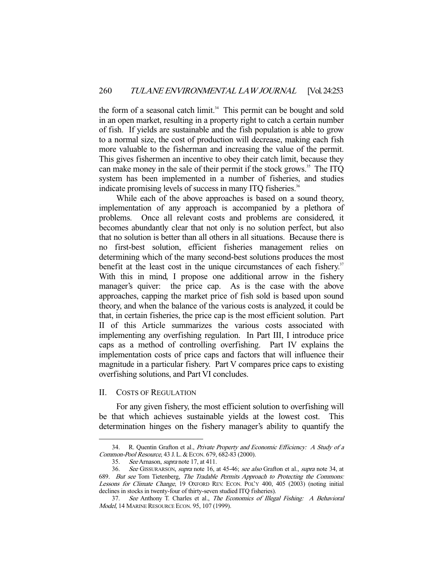the form of a seasonal catch limit.<sup>34</sup> This permit can be bought and sold in an open market, resulting in a property right to catch a certain number of fish. If yields are sustainable and the fish population is able to grow to a normal size, the cost of production will decrease, making each fish more valuable to the fisherman and increasing the value of the permit. This gives fishermen an incentive to obey their catch limit, because they can make money in the sale of their permit if the stock grows.<sup>35</sup> The ITQ system has been implemented in a number of fisheries, and studies indicate promising levels of success in many ITQ fisheries.<sup>36</sup>

 While each of the above approaches is based on a sound theory, implementation of any approach is accompanied by a plethora of problems. Once all relevant costs and problems are considered, it becomes abundantly clear that not only is no solution perfect, but also that no solution is better than all others in all situations. Because there is no first-best solution, efficient fisheries management relies on determining which of the many second-best solutions produces the most benefit at the least cost in the unique circumstances of each fishery.<sup>37</sup> With this in mind, I propose one additional arrow in the fishery manager's quiver: the price cap. As is the case with the above approaches, capping the market price of fish sold is based upon sound theory, and when the balance of the various costs is analyzed, it could be that, in certain fisheries, the price cap is the most efficient solution. Part II of this Article summarizes the various costs associated with implementing any overfishing regulation. In Part III, I introduce price caps as a method of controlling overfishing. Part IV explains the implementation costs of price caps and factors that will influence their magnitude in a particular fishery. Part V compares price caps to existing overfishing solutions, and Part VI concludes.

#### II. COSTS OF REGULATION

-

 For any given fishery, the most efficient solution to overfishing will be that which achieves sustainable yields at the lowest cost. This determination hinges on the fishery manager's ability to quantify the

<sup>34.</sup> R. Quentin Grafton et al., Private Property and Economic Efficiency: A Study of a Common-Pool Resource, 43 J. L. & ECON. 679, 682-83 (2000).

 <sup>35.</sup> See Arnason, supra note 17, at 411.

 <sup>36.</sup> See GISSURARSON, supra note 16, at 45-46; see also Grafton et al., supra note 34, at 689. But see Tom Tietenberg, The Tradable Permits Approach to Protecting the Commons: Lessons for Climate Change, 19 OXFORD REV. ECON. POL'Y 400, 405 (2003) (noting initial declines in stocks in twenty-four of thirty-seven studied ITQ fisheries).

 <sup>37.</sup> See Anthony T. Charles et al., The Economics of Illegal Fishing: A Behavioral Model, 14 MARINE RESOURCE ECON. 95, 107 (1999).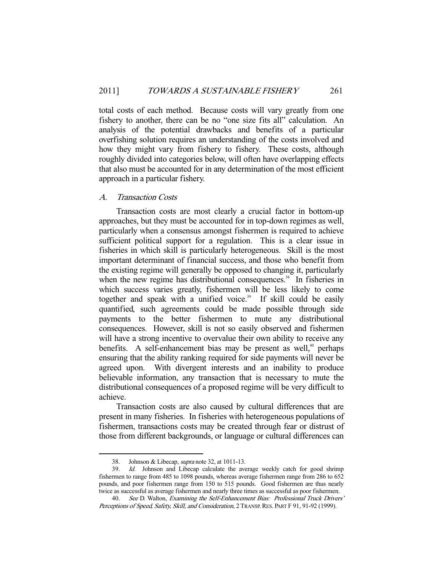total costs of each method. Because costs will vary greatly from one fishery to another, there can be no "one size fits all" calculation. An analysis of the potential drawbacks and benefits of a particular overfishing solution requires an understanding of the costs involved and how they might vary from fishery to fishery. These costs, although roughly divided into categories below, will often have overlapping effects that also must be accounted for in any determination of the most efficient approach in a particular fishery.

# A. Transaction Costs

 Transaction costs are most clearly a crucial factor in bottom-up approaches, but they must be accounted for in top-down regimes as well, particularly when a consensus amongst fishermen is required to achieve sufficient political support for a regulation. This is a clear issue in fisheries in which skill is particularly heterogeneous. Skill is the most important determinant of financial success, and those who benefit from the existing regime will generally be opposed to changing it, particularly when the new regime has distributional consequences.<sup>38</sup> In fisheries in which success varies greatly, fishermen will be less likely to come together and speak with a unified voice.<sup>39</sup> If skill could be easily quantified, such agreements could be made possible through side payments to the better fishermen to mute any distributional consequences. However, skill is not so easily observed and fishermen will have a strong incentive to overvalue their own ability to receive any benefits. A self-enhancement bias may be present as well,<sup>40</sup> perhaps ensuring that the ability ranking required for side payments will never be agreed upon. With divergent interests and an inability to produce believable information, any transaction that is necessary to mute the distributional consequences of a proposed regime will be very difficult to achieve.

 Transaction costs are also caused by cultural differences that are present in many fisheries. In fisheries with heterogeneous populations of fishermen, transactions costs may be created through fear or distrust of those from different backgrounds, or language or cultural differences can

 <sup>38.</sup> Johnson & Libecap, supra note 32, at 1011-13.

<sup>39.</sup> Id. Johnson and Libecap calculate the average weekly catch for good shrimp fishermen to range from 485 to 1098 pounds, whereas average fishermen range from 286 to 652 pounds, and poor fishermen range from 150 to 515 pounds. Good fishermen are thus nearly twice as successful as average fishermen and nearly three times as successful as poor fishermen.

<sup>40.</sup> See D. Walton, Examining the Self-Enhancement Bias: Professional Truck Drivers' Perceptions of Speed, Safety, Skill, and Consideration, 2 TRANSP.RES. PART F 91, 91-92 (1999).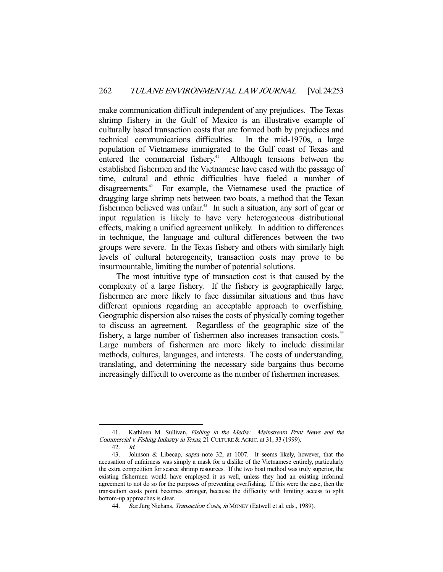make communication difficult independent of any prejudices. The Texas shrimp fishery in the Gulf of Mexico is an illustrative example of culturally based transaction costs that are formed both by prejudices and technical communications difficulties. In the mid-1970s, a large population of Vietnamese immigrated to the Gulf coast of Texas and entered the commercial fishery.<sup>41</sup> Although tensions between the established fishermen and the Vietnamese have eased with the passage of time, cultural and ethnic difficulties have fueled a number of disagreements.<sup>42</sup> For example, the Vietnamese used the practice of dragging large shrimp nets between two boats, a method that the Texan fishermen believed was unfair.43 In such a situation, any sort of gear or input regulation is likely to have very heterogeneous distributional effects, making a unified agreement unlikely. In addition to differences in technique, the language and cultural differences between the two groups were severe. In the Texas fishery and others with similarly high levels of cultural heterogeneity, transaction costs may prove to be insurmountable, limiting the number of potential solutions.

 The most intuitive type of transaction cost is that caused by the complexity of a large fishery. If the fishery is geographically large, fishermen are more likely to face dissimilar situations and thus have different opinions regarding an acceptable approach to overfishing. Geographic dispersion also raises the costs of physically coming together to discuss an agreement. Regardless of the geographic size of the fishery, a large number of fishermen also increases transaction costs.<sup>44</sup> Large numbers of fishermen are more likely to include dissimilar methods, cultures, languages, and interests. The costs of understanding, translating, and determining the necessary side bargains thus become increasingly difficult to overcome as the number of fishermen increases.

<sup>-</sup>41. Kathleen M. Sullivan, Fishing in the Media: Mainstream Print News and the Commercial v. Fishing Industry in Texas, 21 CULTURE & AGRIC. at 31, 33 (1999).

 <sup>42.</sup> Id.

 <sup>43.</sup> Johnson & Libecap, supra note 32, at 1007. It seems likely, however, that the accusation of unfairness was simply a mask for a dislike of the Vietnamese entirely, particularly the extra competition for scarce shrimp resources. If the two boat method was truly superior, the existing fishermen would have employed it as well, unless they had an existing informal agreement to not do so for the purposes of preventing overfishing. If this were the case, then the transaction costs point becomes stronger, because the difficulty with limiting access to split bottom-up approaches is clear.

<sup>44.</sup> See Jürg Niehans, *Transaction Costs, in* MONEY (Eatwell et al. eds., 1989).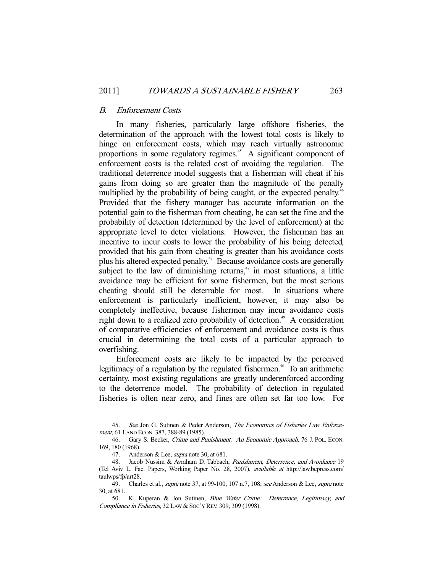#### B. Enforcement Costs

 In many fisheries, particularly large offshore fisheries, the determination of the approach with the lowest total costs is likely to hinge on enforcement costs, which may reach virtually astronomic proportions in some regulatory regimes.<sup>45</sup> A significant component of enforcement costs is the related cost of avoiding the regulation. The traditional deterrence model suggests that a fisherman will cheat if his gains from doing so are greater than the magnitude of the penalty multiplied by the probability of being caught, or the expected penalty.<sup>46</sup> Provided that the fishery manager has accurate information on the potential gain to the fisherman from cheating, he can set the fine and the probability of detection (determined by the level of enforcement) at the appropriate level to deter violations. However, the fisherman has an incentive to incur costs to lower the probability of his being detected, provided that his gain from cheating is greater than his avoidance costs plus his altered expected penalty.47 Because avoidance costs are generally subject to the law of diminishing returns, $48$  in most situations, a little avoidance may be efficient for some fishermen, but the most serious cheating should still be deterrable for most. In situations where enforcement is particularly inefficient, however, it may also be completely ineffective, because fishermen may incur avoidance costs right down to a realized zero probability of detection.<sup>49</sup> A consideration of comparative efficiencies of enforcement and avoidance costs is thus crucial in determining the total costs of a particular approach to overfishing.

 Enforcement costs are likely to be impacted by the perceived legitimacy of a regulation by the regulated fishermen.<sup>50</sup> To an arithmetic certainty, most existing regulations are greatly underenforced according to the deterrence model. The probability of detection in regulated fisheries is often near zero, and fines are often set far too low. For

<sup>45.</sup> See Jon G. Sutinen & Peder Anderson, The Economics of Fisheries Law Enforcement, 61 LAND ECON. 387, 388-89 (1985).

<sup>46.</sup> Gary S. Becker, Crime and Punishment: An Economic Approach, 76 J. POL. ECON. 169, 180 (1968).

<sup>47.</sup> Anderson & Lee, *supra* note 30, at 681.

<sup>48.</sup> Jacob Nussim & Avraham D. Tabbach, *Punishment, Deterrence, and Avoidance* 19 (Tel Aviv L. Fac. Papers, Working Paper No. 28, 2007), available at http://law.bepress.com/ taulwps/fp/art28.

<sup>49.</sup> Charles et al., *supra* note 37, at 99-100, 107 n.7, 108; see Anderson & Lee, *supra* note 30, at 681.

 <sup>50.</sup> K. Kuperan & Jon Sutinen, Blue Water Crime: Deterrence, Legitimacy, and Compliance in Fisheries, 32 LAW & SOC'Y REV. 309, 309 (1998).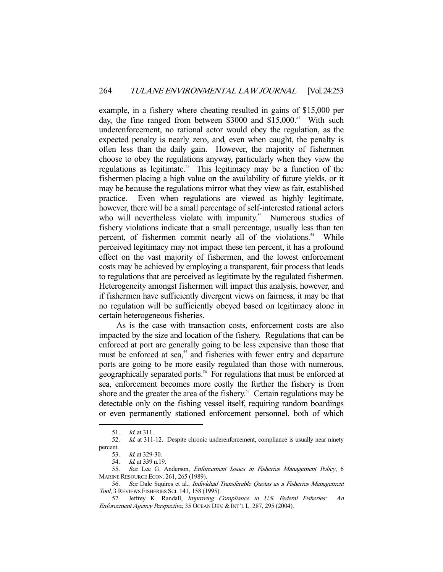example, in a fishery where cheating resulted in gains of \$15,000 per day, the fine ranged from between \$3000 and \$15,000.<sup>51</sup> With such underenforcement, no rational actor would obey the regulation, as the expected penalty is nearly zero, and, even when caught, the penalty is often less than the daily gain. However, the majority of fishermen choose to obey the regulations anyway, particularly when they view the regulations as legitimate.<sup>52</sup> This legitimacy may be a function of the fishermen placing a high value on the availability of future yields, or it may be because the regulations mirror what they view as fair, established practice. Even when regulations are viewed as highly legitimate, however, there will be a small percentage of self-interested rational actors who will nevertheless violate with impunity.<sup>53</sup> Numerous studies of fishery violations indicate that a small percentage, usually less than ten percent, of fishermen commit nearly all of the violations.<sup>54</sup> While perceived legitimacy may not impact these ten percent, it has a profound effect on the vast majority of fishermen, and the lowest enforcement costs may be achieved by employing a transparent, fair process that leads to regulations that are perceived as legitimate by the regulated fishermen. Heterogeneity amongst fishermen will impact this analysis, however, and if fishermen have sufficiently divergent views on fairness, it may be that no regulation will be sufficiently obeyed based on legitimacy alone in certain heterogeneous fisheries.

 As is the case with transaction costs, enforcement costs are also impacted by the size and location of the fishery. Regulations that can be enforced at port are generally going to be less expensive than those that must be enforced at sea,<sup>55</sup> and fisheries with fewer entry and departure ports are going to be more easily regulated than those with numerous, geographically separated ports.<sup>56</sup> For regulations that must be enforced at sea, enforcement becomes more costly the further the fishery is from shore and the greater the area of the fishery.<sup>57</sup> Certain regulations may be detectable only on the fishing vessel itself, requiring random boardings or even permanently stationed enforcement personnel, both of which

 <sup>51.</sup> Id. at 311.

<sup>52.</sup> Id. at 311-12. Despite chronic underenforcement, compliance is usually near ninety percent.

 <sup>53.</sup> Id. at 329-30.

 <sup>54.</sup> Id. at 339 n.19.

 <sup>55.</sup> See Lee G. Anderson, Enforcement Issues in Fisheries Management Policy, 6 MARINE RESOURCE ECON. 261, 265 (1989).

<sup>56.</sup> See Dale Squires et al., Individual Transferable Quotas as a Fisheries Management Tool, 3 REVIEWS FISHERIES SCI. 141, 158 (1995).

<sup>57.</sup> Jeffrey K. Randall, *Improving Compliance in U.S. Federal Fisheries: An* Enforcement Agency Perspective, 35 OCEAN DEV. & INT'L L. 287, 295 (2004).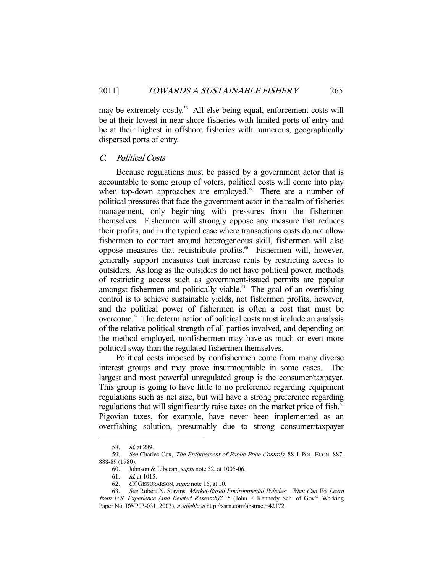may be extremely costly.<sup>58</sup> All else being equal, enforcement costs will be at their lowest in near-shore fisheries with limited ports of entry and be at their highest in offshore fisheries with numerous, geographically dispersed ports of entry.

#### C. Political Costs

 Because regulations must be passed by a government actor that is accountable to some group of voters, political costs will come into play when top-down approaches are employed.<sup>59</sup> There are a number of political pressures that face the government actor in the realm of fisheries management, only beginning with pressures from the fishermen themselves. Fishermen will strongly oppose any measure that reduces their profits, and in the typical case where transactions costs do not allow fishermen to contract around heterogeneous skill, fishermen will also oppose measures that redistribute profits.<sup>60</sup> Fishermen will, however, generally support measures that increase rents by restricting access to outsiders. As long as the outsiders do not have political power, methods of restricting access such as government-issued permits are popular amongst fishermen and politically viable.<sup>61</sup> The goal of an overfishing control is to achieve sustainable yields, not fishermen profits, however, and the political power of fishermen is often a cost that must be overcome.62 The determination of political costs must include an analysis of the relative political strength of all parties involved, and depending on the method employed, nonfishermen may have as much or even more political sway than the regulated fishermen themselves.

 Political costs imposed by nonfishermen come from many diverse interest groups and may prove insurmountable in some cases. The largest and most powerful unregulated group is the consumer/taxpayer. This group is going to have little to no preference regarding equipment regulations such as net size, but will have a strong preference regarding regulations that will significantly raise taxes on the market price of fish.<sup>63</sup> Pigovian taxes, for example, have never been implemented as an overfishing solution, presumably due to strong consumer/taxpayer

 <sup>58.</sup> Id. at 289.

 <sup>59.</sup> See Charles Cox, The Enforcement of Public Price Controls, 88 J. POL. ECON. 887, 888-89 (1980).

 <sup>60.</sup> Johnson & Libecap, supra note 32, at 1005-06.

 <sup>61.</sup> Id. at 1015.

<sup>62.</sup> Cf. GISSURARSON, supra note 16, at 10.

 <sup>63.</sup> See Robert N. Stavins, Market-Based Environmental Policies: What Can We Learn from U.S. Experience (and Related Research)? 15 (John F. Kennedy Sch. of Gov't, Working Paper No. RWP03-031, 2003), *available at* http://ssrn.com/abstract=42172.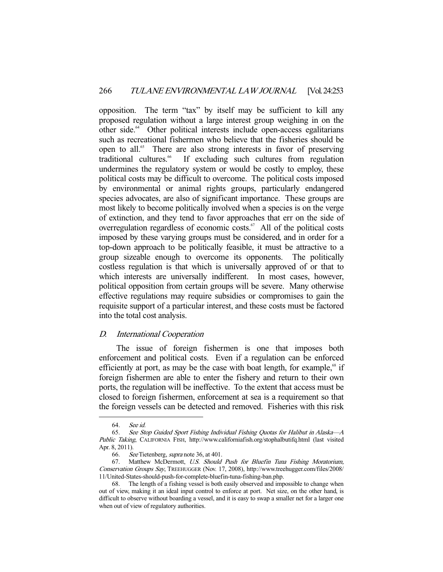opposition. The term "tax" by itself may be sufficient to kill any proposed regulation without a large interest group weighing in on the other side.<sup>64</sup> Other political interests include open-access egalitarians such as recreational fishermen who believe that the fisheries should be open to all.<sup>65</sup> There are also strong interests in favor of preserving traditional cultures.<sup>66</sup> If excluding such cultures from regulation undermines the regulatory system or would be costly to employ, these political costs may be difficult to overcome. The political costs imposed by environmental or animal rights groups, particularly endangered species advocates, are also of significant importance. These groups are most likely to become politically involved when a species is on the verge of extinction, and they tend to favor approaches that err on the side of overregulation regardless of economic costs. $67$  All of the political costs imposed by these varying groups must be considered, and in order for a top-down approach to be politically feasible, it must be attractive to a group sizeable enough to overcome its opponents. The politically costless regulation is that which is universally approved of or that to which interests are universally indifferent. In most cases, however, political opposition from certain groups will be severe. Many otherwise effective regulations may require subsidies or compromises to gain the requisite support of a particular interest, and these costs must be factored into the total cost analysis.

# D. International Cooperation

 The issue of foreign fishermen is one that imposes both enforcement and political costs. Even if a regulation can be enforced efficiently at port, as may be the case with boat length, for example,<sup> $68$ </sup> if foreign fishermen are able to enter the fishery and return to their own ports, the regulation will be ineffective. To the extent that access must be closed to foreign fishermen, enforcement at sea is a requirement so that the foreign vessels can be detected and removed. Fisheries with this risk

 $64.65.$ 

See Stop Guided Sport Fishing Individual Fishing Quotas for Halibut in Alaska-A Public Taking, CALIFORNIA FISH, http://www.californiafish.org/stophalbutifq.html (last visited Apr. 8, 2011).

 <sup>66.</sup> See Tietenberg, supra note 36, at 401.

 <sup>67.</sup> Matthew McDermott, U.S. Should Push for Bluefin Tuna Fishing Moratorium, Conservation Groups Say, TREEHUGGER (Nov. 17, 2008), http://www.treehugger.com/files/2008/ 11/United-States-should-push-for-complete-bluefin-tuna-fishing-ban.php.

 <sup>68.</sup> The length of a fishing vessel is both easily observed and impossible to change when out of view, making it an ideal input control to enforce at port. Net size, on the other hand, is difficult to observe without boarding a vessel, and it is easy to swap a smaller net for a larger one when out of view of regulatory authorities.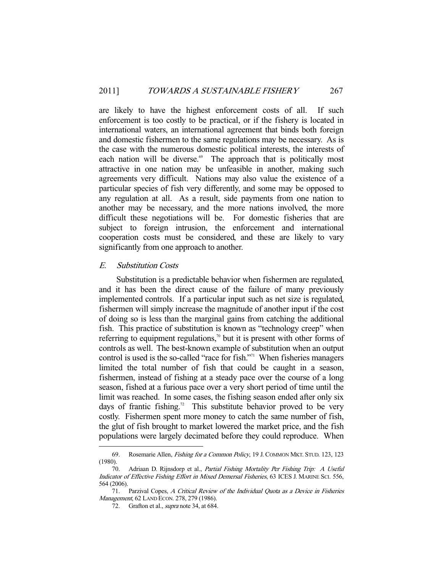are likely to have the highest enforcement costs of all. If such enforcement is too costly to be practical, or if the fishery is located in international waters, an international agreement that binds both foreign and domestic fishermen to the same regulations may be necessary. As is the case with the numerous domestic political interests, the interests of each nation will be diverse.<sup>69</sup> The approach that is politically most attractive in one nation may be unfeasible in another, making such agreements very difficult. Nations may also value the existence of a particular species of fish very differently, and some may be opposed to any regulation at all. As a result, side payments from one nation to another may be necessary, and the more nations involved, the more difficult these negotiations will be. For domestic fisheries that are subject to foreign intrusion, the enforcement and international cooperation costs must be considered, and these are likely to vary significantly from one approach to another.

## E. Substitution Costs

-

 Substitution is a predictable behavior when fishermen are regulated, and it has been the direct cause of the failure of many previously implemented controls. If a particular input such as net size is regulated, fishermen will simply increase the magnitude of another input if the cost of doing so is less than the marginal gains from catching the additional fish. This practice of substitution is known as "technology creep" when referring to equipment regulations,<sup>70</sup> but it is present with other forms of controls as well. The best-known example of substitution when an output control is used is the so-called "race for fish."<sup>11</sup> When fisheries managers limited the total number of fish that could be caught in a season, fishermen, instead of fishing at a steady pace over the course of a long season, fished at a furious pace over a very short period of time until the limit was reached. In some cases, the fishing season ended after only six days of frantic fishing.<sup>72</sup> This substitute behavior proved to be very costly. Fishermen spent more money to catch the same number of fish, the glut of fish brought to market lowered the market price, and the fish populations were largely decimated before they could reproduce. When

 <sup>69.</sup> Rosemarie Allen, Fishing for a Common Policy, 19 J. COMMON MKT. STUD. 123, 123 (1980).

 <sup>70.</sup> Adriaan D. Rijnsdorp et al., Partial Fishing Mortality Per Fishing Trip: A Useful Indicator of Effective Fishing Effort in Mixed Demersal Fisheries, 63 ICES J. MARINE SCI. 556, 564 (2006).

 <sup>71.</sup> Parzival Copes, A Critical Review of the Individual Quota as a Device in Fisheries Management, 62 LAND ECON. 278, 279 (1986).

<sup>72.</sup> Grafton et al., *supra* note 34, at 684.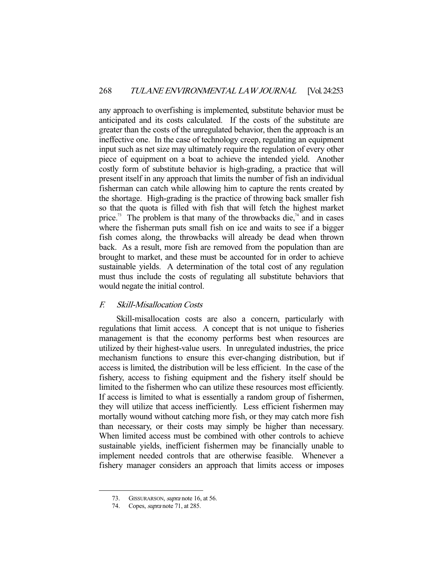any approach to overfishing is implemented, substitute behavior must be anticipated and its costs calculated. If the costs of the substitute are greater than the costs of the unregulated behavior, then the approach is an ineffective one. In the case of technology creep, regulating an equipment input such as net size may ultimately require the regulation of every other piece of equipment on a boat to achieve the intended yield. Another costly form of substitute behavior is high-grading, a practice that will present itself in any approach that limits the number of fish an individual fisherman can catch while allowing him to capture the rents created by the shortage. High-grading is the practice of throwing back smaller fish so that the quota is filled with fish that will fetch the highest market price.<sup>73</sup> The problem is that many of the throwbacks die,<sup>74</sup> and in cases where the fisherman puts small fish on ice and waits to see if a bigger fish comes along, the throwbacks will already be dead when thrown back. As a result, more fish are removed from the population than are brought to market, and these must be accounted for in order to achieve sustainable yields. A determination of the total cost of any regulation must thus include the costs of regulating all substitute behaviors that would negate the initial control.

#### F. Skill-Misallocation Costs

 Skill-misallocation costs are also a concern, particularly with regulations that limit access. A concept that is not unique to fisheries management is that the economy performs best when resources are utilized by their highest-value users. In unregulated industries, the price mechanism functions to ensure this ever-changing distribution, but if access is limited, the distribution will be less efficient. In the case of the fishery, access to fishing equipment and the fishery itself should be limited to the fishermen who can utilize these resources most efficiently. If access is limited to what is essentially a random group of fishermen, they will utilize that access inefficiently. Less efficient fishermen may mortally wound without catching more fish, or they may catch more fish than necessary, or their costs may simply be higher than necessary. When limited access must be combined with other controls to achieve sustainable yields, inefficient fishermen may be financially unable to implement needed controls that are otherwise feasible. Whenever a fishery manager considers an approach that limits access or imposes

<sup>73.</sup> GISSURARSON, *supra* note 16, at 56.

 <sup>74.</sup> Copes, supra note 71, at 285.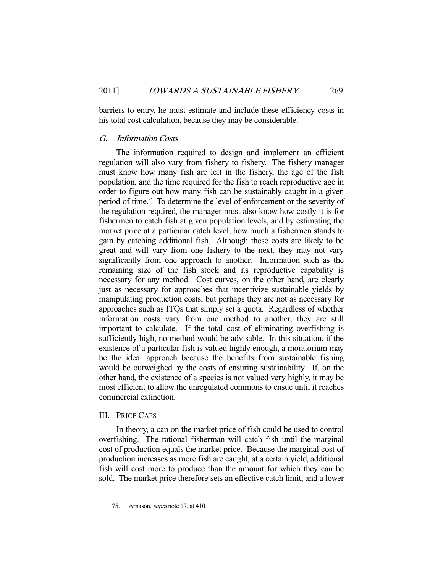barriers to entry, he must estimate and include these efficiency costs in his total cost calculation, because they may be considerable.

# G. Information Costs

 The information required to design and implement an efficient regulation will also vary from fishery to fishery. The fishery manager must know how many fish are left in the fishery, the age of the fish population, and the time required for the fish to reach reproductive age in order to figure out how many fish can be sustainably caught in a given period of time.75 To determine the level of enforcement or the severity of the regulation required, the manager must also know how costly it is for fishermen to catch fish at given population levels, and by estimating the market price at a particular catch level, how much a fishermen stands to gain by catching additional fish. Although these costs are likely to be great and will vary from one fishery to the next, they may not vary significantly from one approach to another. Information such as the remaining size of the fish stock and its reproductive capability is necessary for any method. Cost curves, on the other hand, are clearly just as necessary for approaches that incentivize sustainable yields by manipulating production costs, but perhaps they are not as necessary for approaches such as ITQs that simply set a quota. Regardless of whether information costs vary from one method to another, they are still important to calculate. If the total cost of eliminating overfishing is sufficiently high, no method would be advisable. In this situation, if the existence of a particular fish is valued highly enough, a moratorium may be the ideal approach because the benefits from sustainable fishing would be outweighed by the costs of ensuring sustainability. If, on the other hand, the existence of a species is not valued very highly, it may be most efficient to allow the unregulated commons to ensue until it reaches commercial extinction.

#### III. PRICE CAPS

-

 In theory, a cap on the market price of fish could be used to control overfishing. The rational fisherman will catch fish until the marginal cost of production equals the market price. Because the marginal cost of production increases as more fish are caught, at a certain yield, additional fish will cost more to produce than the amount for which they can be sold. The market price therefore sets an effective catch limit, and a lower

<sup>75.</sup> Arnason, *supra* note 17, at 410.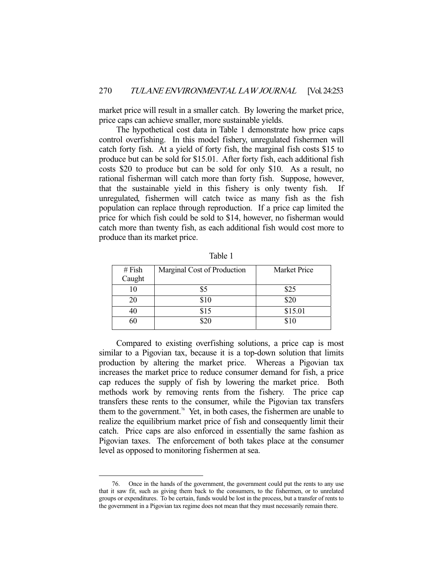market price will result in a smaller catch. By lowering the market price, price caps can achieve smaller, more sustainable yields.

 The hypothetical cost data in Table 1 demonstrate how price caps control overfishing. In this model fishery, unregulated fishermen will catch forty fish. At a yield of forty fish, the marginal fish costs \$15 to produce but can be sold for \$15.01. After forty fish, each additional fish costs \$20 to produce but can be sold for only \$10. As a result, no rational fisherman will catch more than forty fish. Suppose, however, that the sustainable yield in this fishery is only twenty fish. If unregulated, fishermen will catch twice as many fish as the fish population can replace through reproduction. If a price cap limited the price for which fish could be sold to \$14, however, no fisherman would catch more than twenty fish, as each additional fish would cost more to produce than its market price.

| # $Fish$<br>Caught | Marginal Cost of Production | Market Price |
|--------------------|-----------------------------|--------------|
|                    | \$5                         | \$25         |
| 20                 | \$10                        | \$20         |
|                    | \$15                        | \$15.01      |
|                    | ዩንበ                         | \$10         |

Table 1

 Compared to existing overfishing solutions, a price cap is most similar to a Pigovian tax, because it is a top-down solution that limits production by altering the market price. Whereas a Pigovian tax increases the market price to reduce consumer demand for fish, a price cap reduces the supply of fish by lowering the market price. Both methods work by removing rents from the fishery. The price cap transfers these rents to the consumer, while the Pigovian tax transfers them to the government.<sup>76</sup> Yet, in both cases, the fishermen are unable to realize the equilibrium market price of fish and consequently limit their catch. Price caps are also enforced in essentially the same fashion as Pigovian taxes. The enforcement of both takes place at the consumer level as opposed to monitoring fishermen at sea.

 <sup>76.</sup> Once in the hands of the government, the government could put the rents to any use that it saw fit, such as giving them back to the consumers, to the fishermen, or to unrelated groups or expenditures. To be certain, funds would be lost in the process, but a transfer of rents to the government in a Pigovian tax regime does not mean that they must necessarily remain there.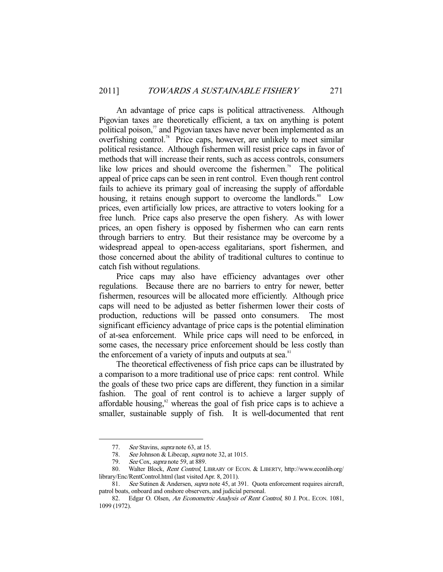An advantage of price caps is political attractiveness. Although Pigovian taxes are theoretically efficient, a tax on anything is potent political poison,<sup>77</sup> and Pigovian taxes have never been implemented as an overfishing control.<sup>78</sup> Price caps, however, are unlikely to meet similar political resistance. Although fishermen will resist price caps in favor of methods that will increase their rents, such as access controls, consumers like low prices and should overcome the fishermen.<sup>79</sup> The political appeal of price caps can be seen in rent control. Even though rent control fails to achieve its primary goal of increasing the supply of affordable housing, it retains enough support to overcome the landlords.<sup>80</sup> Low prices, even artificially low prices, are attractive to voters looking for a free lunch. Price caps also preserve the open fishery. As with lower prices, an open fishery is opposed by fishermen who can earn rents through barriers to entry. But their resistance may be overcome by a widespread appeal to open-access egalitarians, sport fishermen, and those concerned about the ability of traditional cultures to continue to catch fish without regulations.

 Price caps may also have efficiency advantages over other regulations. Because there are no barriers to entry for newer, better fishermen, resources will be allocated more efficiently. Although price caps will need to be adjusted as better fishermen lower their costs of production, reductions will be passed onto consumers. The most significant efficiency advantage of price caps is the potential elimination of at-sea enforcement. While price caps will need to be enforced, in some cases, the necessary price enforcement should be less costly than the enforcement of a variety of inputs and outputs at sea. $81$ 

 The theoretical effectiveness of fish price caps can be illustrated by a comparison to a more traditional use of price caps: rent control. While the goals of these two price caps are different, they function in a similar fashion. The goal of rent control is to achieve a larger supply of affordable housing, $82$  whereas the goal of fish price caps is to achieve a smaller, sustainable supply of fish. It is well-documented that rent

<sup>77.</sup> See Stavins, supra note 63, at 15.

<sup>78.</sup> See Johnson & Libecap, *supra* note 32, at 1015.<br>79. See Cox, *supra* note 59, at 889.

See Cox, supra note 59, at 889.

<sup>80.</sup> Walter Block, Rent Control, LIBRARY OF ECON. & LIBERTY, http://www.econlib.org/ library/Enc/RentControl.html (last visited Apr. 8, 2011).

<sup>81.</sup> See Sutinen & Andersen, *supra* note 45, at 391. Quota enforcement requires aircraft, patrol boats, onboard and onshore observers, and judicial personal.

<sup>82.</sup> Edgar O. Olsen, An Econometric Analysis of Rent Control, 80 J. POL. ECON. 1081, 1099 (1972).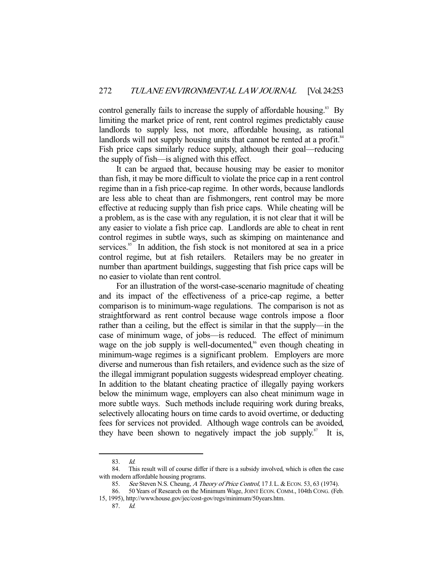control generally fails to increase the supply of affordable housing.<sup>83</sup> By limiting the market price of rent, rent control regimes predictably cause landlords to supply less, not more, affordable housing, as rational landlords will not supply housing units that cannot be rented at a profit.<sup>84</sup> Fish price caps similarly reduce supply, although their goal—reducing the supply of fish—is aligned with this effect.

 It can be argued that, because housing may be easier to monitor than fish, it may be more difficult to violate the price cap in a rent control regime than in a fish price-cap regime. In other words, because landlords are less able to cheat than are fishmongers, rent control may be more effective at reducing supply than fish price caps. While cheating will be a problem, as is the case with any regulation, it is not clear that it will be any easier to violate a fish price cap. Landlords are able to cheat in rent control regimes in subtle ways, such as skimping on maintenance and services.<sup>85</sup> In addition, the fish stock is not monitored at sea in a price control regime, but at fish retailers. Retailers may be no greater in number than apartment buildings, suggesting that fish price caps will be no easier to violate than rent control.

 For an illustration of the worst-case-scenario magnitude of cheating and its impact of the effectiveness of a price-cap regime, a better comparison is to minimum-wage regulations. The comparison is not as straightforward as rent control because wage controls impose a floor rather than a ceiling, but the effect is similar in that the supply—in the case of minimum wage, of jobs—is reduced. The effect of minimum wage on the job supply is well-documented,<sup>86</sup> even though cheating in minimum-wage regimes is a significant problem. Employers are more diverse and numerous than fish retailers, and evidence such as the size of the illegal immigrant population suggests widespread employer cheating. In addition to the blatant cheating practice of illegally paying workers below the minimum wage, employers can also cheat minimum wage in more subtle ways. Such methods include requiring work during breaks, selectively allocating hours on time cards to avoid overtime, or deducting fees for services not provided. Although wage controls can be avoided, they have been shown to negatively impact the job supply. $87$  It is,

 <sup>83.</sup> Id.

 <sup>84.</sup> This result will of course differ if there is a subsidy involved, which is often the case with modern affordable housing programs.

<sup>85.</sup> See Steven N.S. Cheung, A Theory of Price Control, 17 J.L. & ECON. 53, 63 (1974).

 <sup>86. 50</sup> Years of Research on the Minimum Wage, JOINT ECON. COMM., 104th CONG. (Feb. 15, 1995), http://www.house.gov/jec/cost-gov/regs/minimum/50years.htm.

 <sup>87.</sup> Id.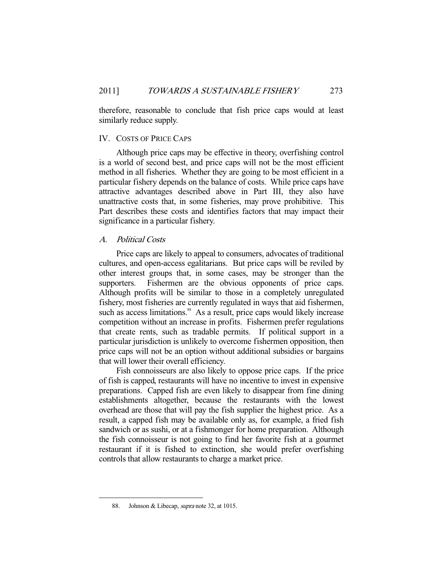therefore, reasonable to conclude that fish price caps would at least similarly reduce supply.

### IV. COSTS OF PRICE CAPS

 Although price caps may be effective in theory, overfishing control is a world of second best, and price caps will not be the most efficient method in all fisheries. Whether they are going to be most efficient in a particular fishery depends on the balance of costs. While price caps have attractive advantages described above in Part III, they also have unattractive costs that, in some fisheries, may prove prohibitive. This Part describes these costs and identifies factors that may impact their significance in a particular fishery.

#### A. Political Costs

 Price caps are likely to appeal to consumers, advocates of traditional cultures, and open-access egalitarians. But price caps will be reviled by other interest groups that, in some cases, may be stronger than the supporters. Fishermen are the obvious opponents of price caps. Although profits will be similar to those in a completely unregulated fishery, most fisheries are currently regulated in ways that aid fishermen, such as access limitations.<sup>88</sup> As a result, price caps would likely increase competition without an increase in profits. Fishermen prefer regulations that create rents, such as tradable permits. If political support in a particular jurisdiction is unlikely to overcome fishermen opposition, then price caps will not be an option without additional subsidies or bargains that will lower their overall efficiency.

 Fish connoisseurs are also likely to oppose price caps. If the price of fish is capped, restaurants will have no incentive to invest in expensive preparations. Capped fish are even likely to disappear from fine dining establishments altogether, because the restaurants with the lowest overhead are those that will pay the fish supplier the highest price. As a result, a capped fish may be available only as, for example, a fried fish sandwich or as sushi, or at a fishmonger for home preparation. Although the fish connoisseur is not going to find her favorite fish at a gourmet restaurant if it is fished to extinction, she would prefer overfishing controls that allow restaurants to charge a market price.

 <sup>88.</sup> Johnson & Libecap, supra note 32, at 1015.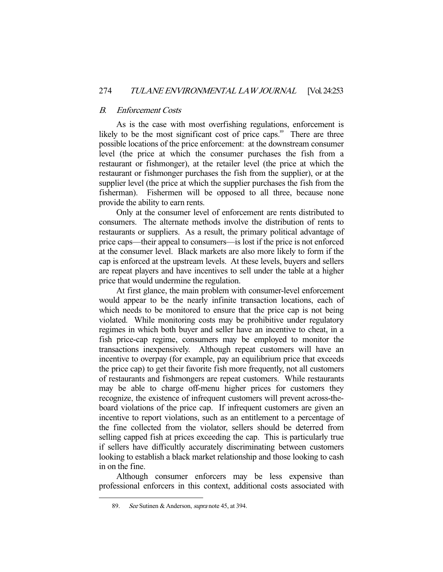# B. Enforcement Costs

 As is the case with most overfishing regulations, enforcement is likely to be the most significant cost of price caps.<sup>89</sup> There are three possible locations of the price enforcement: at the downstream consumer level (the price at which the consumer purchases the fish from a restaurant or fishmonger), at the retailer level (the price at which the restaurant or fishmonger purchases the fish from the supplier), or at the supplier level (the price at which the supplier purchases the fish from the fisherman). Fishermen will be opposed to all three, because none provide the ability to earn rents.

 Only at the consumer level of enforcement are rents distributed to consumers. The alternate methods involve the distribution of rents to restaurants or suppliers. As a result, the primary political advantage of price caps—their appeal to consumers—is lost if the price is not enforced at the consumer level. Black markets are also more likely to form if the cap is enforced at the upstream levels. At these levels, buyers and sellers are repeat players and have incentives to sell under the table at a higher price that would undermine the regulation.

 At first glance, the main problem with consumer-level enforcement would appear to be the nearly infinite transaction locations, each of which needs to be monitored to ensure that the price cap is not being violated. While monitoring costs may be prohibitive under regulatory regimes in which both buyer and seller have an incentive to cheat, in a fish price-cap regime, consumers may be employed to monitor the transactions inexpensively. Although repeat customers will have an incentive to overpay (for example, pay an equilibrium price that exceeds the price cap) to get their favorite fish more frequently, not all customers of restaurants and fishmongers are repeat customers. While restaurants may be able to charge off-menu higher prices for customers they recognize, the existence of infrequent customers will prevent across-theboard violations of the price cap. If infrequent customers are given an incentive to report violations, such as an entitlement to a percentage of the fine collected from the violator, sellers should be deterred from selling capped fish at prices exceeding the cap. This is particularly true if sellers have difficultly accurately discriminating between customers looking to establish a black market relationship and those looking to cash in on the fine.

 Although consumer enforcers may be less expensive than professional enforcers in this context, additional costs associated with

<sup>89.</sup> See Sutinen & Anderson, *supra* note 45, at 394.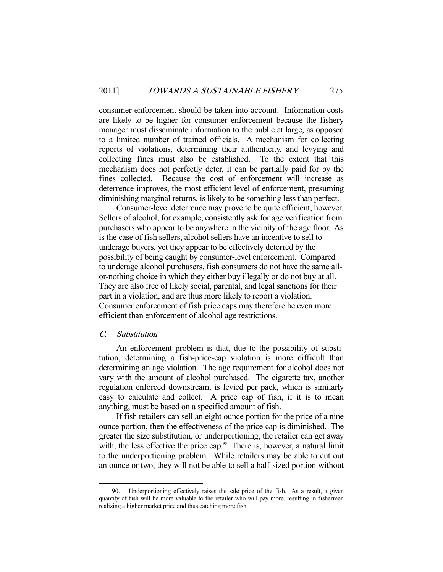consumer enforcement should be taken into account. Information costs are likely to be higher for consumer enforcement because the fishery manager must disseminate information to the public at large, as opposed to a limited number of trained officials. A mechanism for collecting reports of violations, determining their authenticity, and levying and collecting fines must also be established. To the extent that this mechanism does not perfectly deter, it can be partially paid for by the fines collected. Because the cost of enforcement will increase as deterrence improves, the most efficient level of enforcement, presuming diminishing marginal returns, is likely to be something less than perfect.

 Consumer-level deterrence may prove to be quite efficient, however. Sellers of alcohol, for example, consistently ask for age verification from purchasers who appear to be anywhere in the vicinity of the age floor. As is the case of fish sellers, alcohol sellers have an incentive to sell to underage buyers, yet they appear to be effectively deterred by the possibility of being caught by consumer-level enforcement. Compared to underage alcohol purchasers, fish consumers do not have the same allor-nothing choice in which they either buy illegally or do not buy at all. They are also free of likely social, parental, and legal sanctions for their part in a violation, and are thus more likely to report a violation. Consumer enforcement of fish price caps may therefore be even more efficient than enforcement of alcohol age restrictions.

#### C. Substitution

-

 An enforcement problem is that, due to the possibility of substitution, determining a fish-price-cap violation is more difficult than determining an age violation. The age requirement for alcohol does not vary with the amount of alcohol purchased. The cigarette tax, another regulation enforced downstream, is levied per pack, which is similarly easy to calculate and collect. A price cap of fish, if it is to mean anything, must be based on a specified amount of fish.

 If fish retailers can sell an eight ounce portion for the price of a nine ounce portion, then the effectiveness of the price cap is diminished. The greater the size substitution, or underportioning, the retailer can get away with, the less effective the price cap.<sup>90</sup> There is, however, a natural limit to the underportioning problem. While retailers may be able to cut out an ounce or two, they will not be able to sell a half-sized portion without

Underportioning effectively raises the sale price of the fish. As a result, a given quantity of fish will be more valuable to the retailer who will pay more, resulting in fishermen realizing a higher market price and thus catching more fish.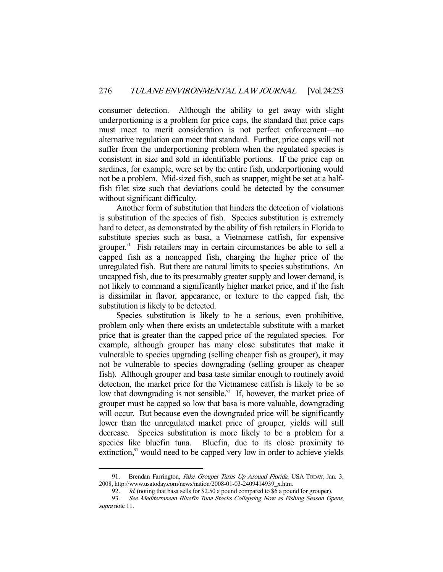consumer detection. Although the ability to get away with slight underportioning is a problem for price caps, the standard that price caps must meet to merit consideration is not perfect enforcement—no alternative regulation can meet that standard. Further, price caps will not suffer from the underportioning problem when the regulated species is consistent in size and sold in identifiable portions. If the price cap on sardines, for example, were set by the entire fish, underportioning would not be a problem. Mid-sized fish, such as snapper, might be set at a halffish filet size such that deviations could be detected by the consumer without significant difficulty.

 Another form of substitution that hinders the detection of violations is substitution of the species of fish. Species substitution is extremely hard to detect, as demonstrated by the ability of fish retailers in Florida to substitute species such as basa, a Vietnamese catfish, for expensive grouper.<sup>91</sup> Fish retailers may in certain circumstances be able to sell a capped fish as a noncapped fish, charging the higher price of the unregulated fish. But there are natural limits to species substitutions. An uncapped fish, due to its presumably greater supply and lower demand, is not likely to command a significantly higher market price, and if the fish is dissimilar in flavor, appearance, or texture to the capped fish, the substitution is likely to be detected.

 Species substitution is likely to be a serious, even prohibitive, problem only when there exists an undetectable substitute with a market price that is greater than the capped price of the regulated species. For example, although grouper has many close substitutes that make it vulnerable to species upgrading (selling cheaper fish as grouper), it may not be vulnerable to species downgrading (selling grouper as cheaper fish). Although grouper and basa taste similar enough to routinely avoid detection, the market price for the Vietnamese catfish is likely to be so low that downgrading is not sensible.<sup>92</sup> If, however, the market price of grouper must be capped so low that basa is more valuable, downgrading will occur. But because even the downgraded price will be significantly lower than the unregulated market price of grouper, yields will still decrease. Species substitution is more likely to be a problem for a species like bluefin tuna. Bluefin, due to its close proximity to extinction,<sup>93</sup> would need to be capped very low in order to achieve yields

<sup>91.</sup> Brendan Farrington, Fake Grouper Turns Up Around Florida, USA TODAY, Jan. 3, 2008, http://www.usatoday.com/news/nation/2008-01-03-2409414939\_x.htm.

 <sup>92.</sup> Id. (noting that basa sells for \$2.50 a pound compared to \$6 a pound for grouper).

<sup>93.</sup> See Mediterranean Bluefin Tuna Stocks Collapsing Now as Fishing Season Opens, supra note 11.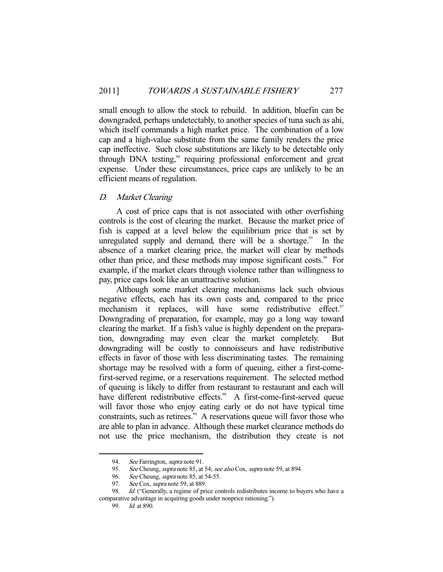small enough to allow the stock to rebuild. In addition, bluefin can be downgraded, perhaps undetectably, to another species of tuna such as ahi, which itself commands a high market price. The combination of a low cap and a high-value substitute from the same family renders the price cap ineffective. Such close substitutions are likely to be detectable only through DNA testing,<sup>94</sup> requiring professional enforcement and great expense. Under these circumstances, price caps are unlikely to be an efficient means of regulation.

# D. Market Clearing

 A cost of price caps that is not associated with other overfishing controls is the cost of clearing the market. Because the market price of fish is capped at a level below the equilibrium price that is set by unregulated supply and demand, there will be a shortage.<sup>95</sup> In the absence of a market clearing price, the market will clear by methods other than price, and these methods may impose significant costs.<sup>96</sup> For example, if the market clears through violence rather than willingness to pay, price caps look like an unattractive solution.

 Although some market clearing mechanisms lack such obvious negative effects, each has its own costs and, compared to the price mechanism it replaces, will have some redistributive effect.<sup>97</sup> Downgrading of preparation, for example, may go a long way toward clearing the market. If a fish's value is highly dependent on the preparation, downgrading may even clear the market completely. But downgrading will be costly to connoisseurs and have redistributive effects in favor of those with less discriminating tastes. The remaining shortage may be resolved with a form of queuing, either a first-comefirst-served regime, or a reservations requirement. The selected method of queuing is likely to differ from restaurant to restaurant and each will have different redistributive effects.<sup>98</sup> A first-come-first-served queue will favor those who enjoy eating early or do not have typical time constraints, such as retirees.<sup>99</sup> A reservations queue will favor those who are able to plan in advance. Although these market clearance methods do not use the price mechanism, the distribution they create is not

<sup>94.</sup> See Farrington, *supra* note 91.

<sup>95.</sup> See Cheung, supra note 85, at 54; see also Cox, supra note 59, at 894.

<sup>96.</sup> See Cheung, *supra* note 85, at 54-55.

<sup>97.</sup> See Cox, supra note 59, at 889.

<sup>98.</sup> Id. ("Generally, a regime of price controls redistributes income to buyers who have a comparative advantage in acquiring goods under nonprice rationing.").

 <sup>99.</sup> Id. at 890.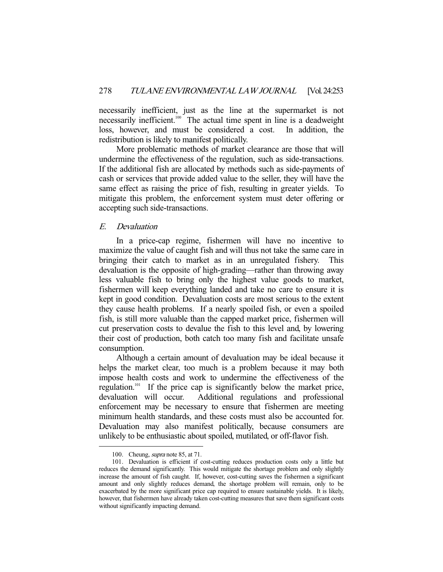necessarily inefficient, just as the line at the supermarket is not necessarily inefficient.<sup>100</sup> The actual time spent in line is a deadweight loss, however, and must be considered a cost. In addition, the redistribution is likely to manifest politically.

 More problematic methods of market clearance are those that will undermine the effectiveness of the regulation, such as side-transactions. If the additional fish are allocated by methods such as side-payments of cash or services that provide added value to the seller, they will have the same effect as raising the price of fish, resulting in greater yields. To mitigate this problem, the enforcement system must deter offering or accepting such side-transactions.

# E. Devaluation

 In a price-cap regime, fishermen will have no incentive to maximize the value of caught fish and will thus not take the same care in bringing their catch to market as in an unregulated fishery. This devaluation is the opposite of high-grading—rather than throwing away less valuable fish to bring only the highest value goods to market, fishermen will keep everything landed and take no care to ensure it is kept in good condition. Devaluation costs are most serious to the extent they cause health problems. If a nearly spoiled fish, or even a spoiled fish, is still more valuable than the capped market price, fishermen will cut preservation costs to devalue the fish to this level and, by lowering their cost of production, both catch too many fish and facilitate unsafe consumption.

 Although a certain amount of devaluation may be ideal because it helps the market clear, too much is a problem because it may both impose health costs and work to undermine the effectiveness of the regulation.101 If the price cap is significantly below the market price, devaluation will occur. Additional regulations and professional enforcement may be necessary to ensure that fishermen are meeting minimum health standards, and these costs must also be accounted for. Devaluation may also manifest politically, because consumers are unlikely to be enthusiastic about spoiled, mutilated, or off-flavor fish.

 <sup>100.</sup> Cheung, supra note 85, at 71.

 <sup>101.</sup> Devaluation is efficient if cost-cutting reduces production costs only a little but reduces the demand significantly. This would mitigate the shortage problem and only slightly increase the amount of fish caught. If, however, cost-cutting saves the fishermen a significant amount and only slightly reduces demand, the shortage problem will remain, only to be exacerbated by the more significant price cap required to ensure sustainable yields. It is likely, however, that fishermen have already taken cost-cutting measures that save them significant costs without significantly impacting demand.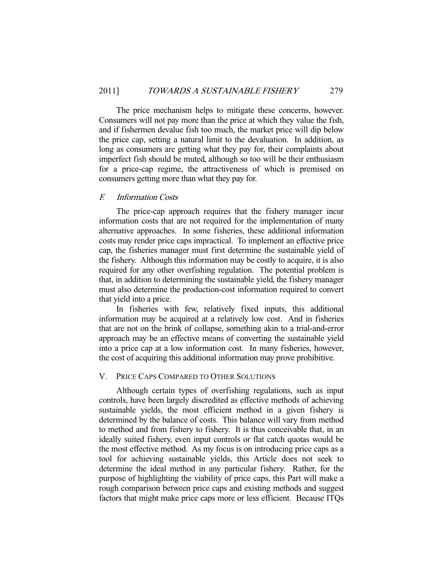The price mechanism helps to mitigate these concerns, however. Consumers will not pay more than the price at which they value the fish, and if fishermen devalue fish too much, the market price will dip below the price cap, setting a natural limit to the devaluation. In addition, as long as consumers are getting what they pay for, their complaints about imperfect fish should be muted, although so too will be their enthusiasm for a price-cap regime, the attractiveness of which is premised on consumers getting more than what they pay for.

#### F. Information Costs

 The price-cap approach requires that the fishery manager incur information costs that are not required for the implementation of many alternative approaches. In some fisheries, these additional information costs may render price caps impractical. To implement an effective price cap, the fisheries manager must first determine the sustainable yield of the fishery. Although this information may be costly to acquire, it is also required for any other overfishing regulation. The potential problem is that, in addition to determining the sustainable yield, the fishery manager must also determine the production-cost information required to convert that yield into a price.

 In fisheries with few, relatively fixed inputs, this additional information may be acquired at a relatively low cost. And in fisheries that are not on the brink of collapse, something akin to a trial-and-error approach may be an effective means of converting the sustainable yield into a price cap at a low information cost. In many fisheries, however, the cost of acquiring this additional information may prove prohibitive.

#### V. PRICE CAPS COMPARED TO OTHER SOLUTIONS

 Although certain types of overfishing regulations, such as input controls, have been largely discredited as effective methods of achieving sustainable yields, the most efficient method in a given fishery is determined by the balance of costs. This balance will vary from method to method and from fishery to fishery. It is thus conceivable that, in an ideally suited fishery, even input controls or flat catch quotas would be the most effective method. As my focus is on introducing price caps as a tool for achieving sustainable yields, this Article does not seek to determine the ideal method in any particular fishery. Rather, for the purpose of highlighting the viability of price caps, this Part will make a rough comparison between price caps and existing methods and suggest factors that might make price caps more or less efficient. Because ITQs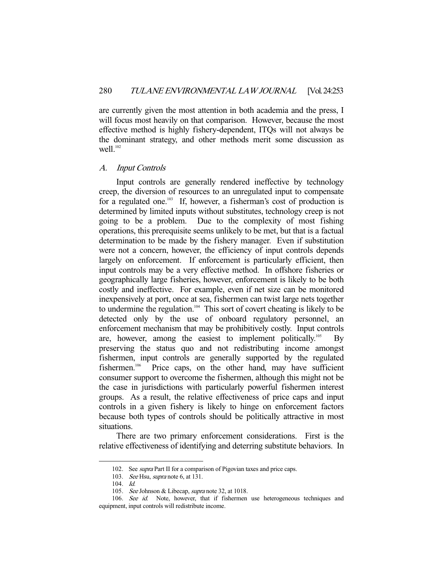are currently given the most attention in both academia and the press, I will focus most heavily on that comparison. However, because the most effective method is highly fishery-dependent, ITQs will not always be the dominant strategy, and other methods merit some discussion as well. $102$ 

#### A. Input Controls

 Input controls are generally rendered ineffective by technology creep, the diversion of resources to an unregulated input to compensate for a regulated one.<sup>103</sup> If, however, a fisherman's cost of production is determined by limited inputs without substitutes, technology creep is not going to be a problem. Due to the complexity of most fishing operations, this prerequisite seems unlikely to be met, but that is a factual determination to be made by the fishery manager. Even if substitution were not a concern, however, the efficiency of input controls depends largely on enforcement. If enforcement is particularly efficient, then input controls may be a very effective method. In offshore fisheries or geographically large fisheries, however, enforcement is likely to be both costly and ineffective. For example, even if net size can be monitored inexpensively at port, once at sea, fishermen can twist large nets together to undermine the regulation.<sup>104</sup> This sort of covert cheating is likely to be detected only by the use of onboard regulatory personnel, an enforcement mechanism that may be prohibitively costly. Input controls are, however, among the easiest to implement politically.<sup>105</sup> By preserving the status quo and not redistributing income amongst fishermen, input controls are generally supported by the regulated fishermen.<sup>106</sup> Price caps, on the other hand, may have sufficient consumer support to overcome the fishermen, although this might not be the case in jurisdictions with particularly powerful fishermen interest groups. As a result, the relative effectiveness of price caps and input controls in a given fishery is likely to hinge on enforcement factors because both types of controls should be politically attractive in most situations.

 There are two primary enforcement considerations. First is the relative effectiveness of identifying and deterring substitute behaviors. In

<sup>102.</sup> See *supra* Part II for a comparison of Pigovian taxes and price caps.

<sup>103.</sup> See Hsu, supra note 6, at 131.

 <sup>104.</sup> Id.

<sup>105.</sup> See Johnson & Libecap, supra note 32, at 1018.

<sup>106.</sup> See id. Note, however, that if fishermen use heterogeneous techniques and equipment, input controls will redistribute income.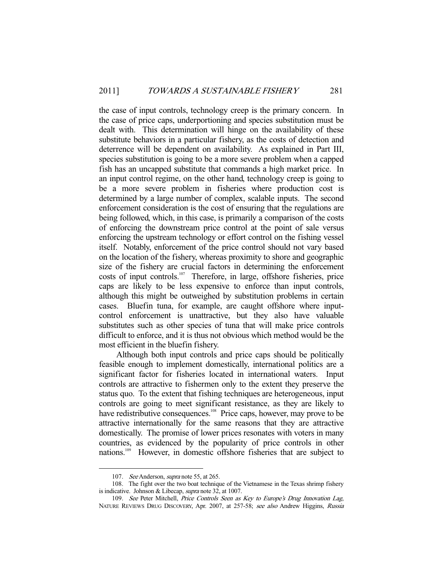the case of input controls, technology creep is the primary concern. In the case of price caps, underportioning and species substitution must be dealt with. This determination will hinge on the availability of these substitute behaviors in a particular fishery, as the costs of detection and deterrence will be dependent on availability. As explained in Part III, species substitution is going to be a more severe problem when a capped fish has an uncapped substitute that commands a high market price. In an input control regime, on the other hand, technology creep is going to be a more severe problem in fisheries where production cost is determined by a large number of complex, scalable inputs. The second enforcement consideration is the cost of ensuring that the regulations are being followed, which, in this case, is primarily a comparison of the costs of enforcing the downstream price control at the point of sale versus enforcing the upstream technology or effort control on the fishing vessel itself. Notably, enforcement of the price control should not vary based on the location of the fishery, whereas proximity to shore and geographic size of the fishery are crucial factors in determining the enforcement costs of input controls.<sup>107</sup> Therefore, in large, offshore fisheries, price caps are likely to be less expensive to enforce than input controls, although this might be outweighed by substitution problems in certain cases. Bluefin tuna, for example, are caught offshore where inputcontrol enforcement is unattractive, but they also have valuable substitutes such as other species of tuna that will make price controls difficult to enforce, and it is thus not obvious which method would be the most efficient in the bluefin fishery.

 Although both input controls and price caps should be politically feasible enough to implement domestically, international politics are a significant factor for fisheries located in international waters. Input controls are attractive to fishermen only to the extent they preserve the status quo. To the extent that fishing techniques are heterogeneous, input controls are going to meet significant resistance, as they are likely to have redistributive consequences.<sup>108</sup> Price caps, however, may prove to be attractive internationally for the same reasons that they are attractive domestically. The promise of lower prices resonates with voters in many countries, as evidenced by the popularity of price controls in other nations.109 However, in domestic offshore fisheries that are subject to

<sup>107.</sup> *See* Anderson, *supra* note 55, at 265.

 <sup>108.</sup> The fight over the two boat technique of the Vietnamese in the Texas shrimp fishery is indicative. Johnson & Libecap, supra note 32, at 1007.

<sup>109.</sup> See Peter Mitchell, Price Controls Seen as Key to Europe's Drug Innovation Lag, NATURE REVIEWS DRUG DISCOVERY, Apr. 2007, at 257-58; see also Andrew Higgins, Russia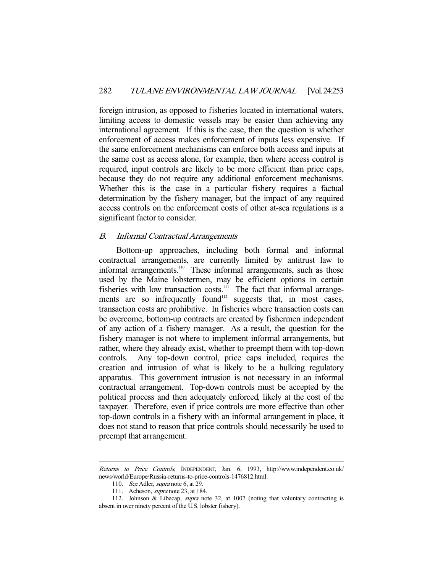foreign intrusion, as opposed to fisheries located in international waters, limiting access to domestic vessels may be easier than achieving any international agreement. If this is the case, then the question is whether enforcement of access makes enforcement of inputs less expensive. If the same enforcement mechanisms can enforce both access and inputs at the same cost as access alone, for example, then where access control is required, input controls are likely to be more efficient than price caps, because they do not require any additional enforcement mechanisms. Whether this is the case in a particular fishery requires a factual determination by the fishery manager, but the impact of any required access controls on the enforcement costs of other at-sea regulations is a significant factor to consider.

## B. Informal Contractual Arrangements

 Bottom-up approaches, including both formal and informal contractual arrangements, are currently limited by antitrust law to informal arrangements.<sup>110</sup> These informal arrangements, such as those used by the Maine lobstermen, may be efficient options in certain fisheries with low transaction costs. $111$  The fact that informal arrangements are so infrequently found<sup>112</sup> suggests that, in most cases, transaction costs are prohibitive. In fisheries where transaction costs can be overcome, bottom-up contracts are created by fishermen independent of any action of a fishery manager. As a result, the question for the fishery manager is not where to implement informal arrangements, but rather, where they already exist, whether to preempt them with top-down controls. Any top-down control, price caps included, requires the creation and intrusion of what is likely to be a hulking regulatory apparatus. This government intrusion is not necessary in an informal contractual arrangement. Top-down controls must be accepted by the political process and then adequately enforced, likely at the cost of the taxpayer. Therefore, even if price controls are more effective than other top-down controls in a fishery with an informal arrangement in place, it does not stand to reason that price controls should necessarily be used to preempt that arrangement.

Returns to Price Controls, INDEPENDENT, Jan. 6, 1993, http://www.independent.co.uk/ news/world/Europe/Russia-returns-to-price-controls-1476812.html.

<sup>110.</sup> See Adler, supra note 6, at 29.

<sup>111.</sup> Acheson, *supra* note 23, at 184.

 <sup>112.</sup> Johnson & Libecap, supra note 32, at 1007 (noting that voluntary contracting is absent in over ninety percent of the U.S. lobster fishery).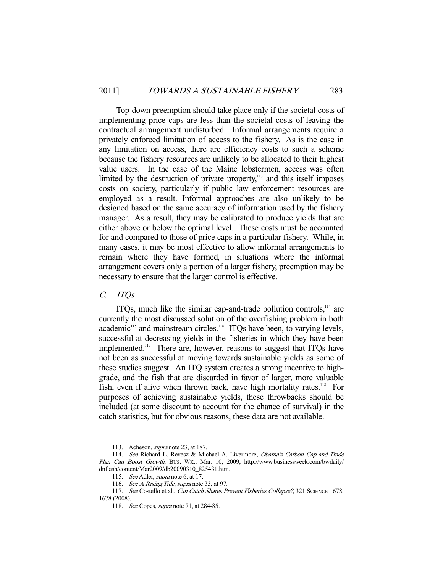Top-down preemption should take place only if the societal costs of implementing price caps are less than the societal costs of leaving the contractual arrangement undisturbed. Informal arrangements require a privately enforced limitation of access to the fishery. As is the case in any limitation on access, there are efficiency costs to such a scheme because the fishery resources are unlikely to be allocated to their highest value users. In the case of the Maine lobstermen, access was often limited by the destruction of private property, $113$  and this itself imposes costs on society, particularly if public law enforcement resources are employed as a result. Informal approaches are also unlikely to be designed based on the same accuracy of information used by the fishery manager. As a result, they may be calibrated to produce yields that are either above or below the optimal level. These costs must be accounted for and compared to those of price caps in a particular fishery. While, in many cases, it may be most effective to allow informal arrangements to remain where they have formed, in situations where the informal arrangement covers only a portion of a larger fishery, preemption may be necessary to ensure that the larger control is effective.

#### C. ITQs

-

ITQs, much like the similar cap-and-trade pollution controls, $114$  are currently the most discussed solution of the overfishing problem in both academic<sup>115</sup> and mainstream circles.<sup>116</sup> ITQs have been, to varying levels, successful at decreasing yields in the fisheries in which they have been implemented.<sup>117</sup> There are, however, reasons to suggest that ITQs have not been as successful at moving towards sustainable yields as some of these studies suggest. An ITQ system creates a strong incentive to highgrade, and the fish that are discarded in favor of larger, more valuable fish, even if alive when thrown back, have high mortality rates.<sup>118</sup> For purposes of achieving sustainable yields, these throwbacks should be included (at some discount to account for the chance of survival) in the catch statistics, but for obvious reasons, these data are not available.

 <sup>113.</sup> Acheson, supra note 23, at 187.

 <sup>114.</sup> See Richard L. Revesz & Michael A. Livermore, Obama's Carbon Cap-and-Trade Plan Can Boost Growth, BUS. WK., Mar. 10, 2009, http://www.businessweek.com/bwdaily/ dnflash/content/Mar2009/db20090310\_825431.htm.

<sup>115.</sup> See Adler, supra note 6, at 17.

<sup>116.</sup> See A Rising Tide, supra note 33, at 97.

<sup>117.</sup> See Costello et al., Can Catch Shares Prevent Fisheries Collapse?, 321 SCIENCE 1678, 1678 (2008).

<sup>118.</sup> See Copes, *supra* note 71, at 284-85.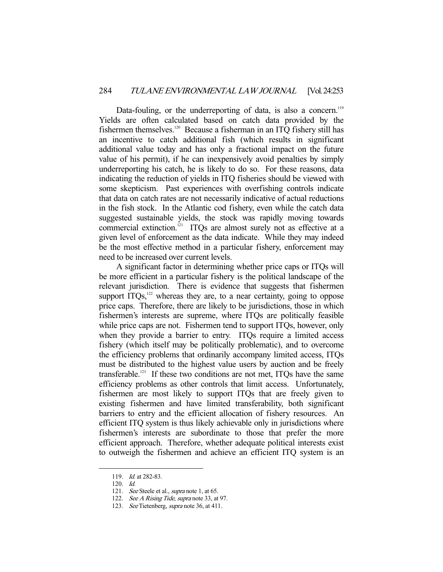Data-fouling, or the underreporting of data, is also a concern.<sup>119</sup> Yields are often calculated based on catch data provided by the fishermen themselves.120 Because a fisherman in an ITQ fishery still has an incentive to catch additional fish (which results in significant additional value today and has only a fractional impact on the future value of his permit), if he can inexpensively avoid penalties by simply underreporting his catch, he is likely to do so. For these reasons, data indicating the reduction of yields in ITQ fisheries should be viewed with some skepticism. Past experiences with overfishing controls indicate that data on catch rates are not necessarily indicative of actual reductions in the fish stock. In the Atlantic cod fishery, even while the catch data suggested sustainable yields, the stock was rapidly moving towards commercial extinction.<sup>121</sup> ITQs are almost surely not as effective at a given level of enforcement as the data indicate. While they may indeed be the most effective method in a particular fishery, enforcement may need to be increased over current levels.

 A significant factor in determining whether price caps or ITQs will be more efficient in a particular fishery is the political landscape of the relevant jurisdiction. There is evidence that suggests that fishermen support  $ITQs$ ,<sup>122</sup> whereas they are, to a near certainty, going to oppose price caps. Therefore, there are likely to be jurisdictions, those in which fishermen's interests are supreme, where ITQs are politically feasible while price caps are not. Fishermen tend to support ITQs, however, only when they provide a barrier to entry. ITQs require a limited access fishery (which itself may be politically problematic), and to overcome the efficiency problems that ordinarily accompany limited access, ITQs must be distributed to the highest value users by auction and be freely transferable.<sup>123</sup> If these two conditions are not met, ITQs have the same efficiency problems as other controls that limit access. Unfortunately, fishermen are most likely to support ITQs that are freely given to existing fishermen and have limited transferability, both significant barriers to entry and the efficient allocation of fishery resources. An efficient ITQ system is thus likely achievable only in jurisdictions where fishermen's interests are subordinate to those that prefer the more efficient approach. Therefore, whether adequate political interests exist to outweigh the fishermen and achieve an efficient ITQ system is an

 <sup>119.</sup> Id. at 282-83.

 <sup>120.</sup> Id.

<sup>121.</sup> See Steele et al., *supra* note 1, at 65.

<sup>122.</sup> See A Rising Tide, supra note 33, at 97.

<sup>123.</sup> See Tietenberg, *supra* note 36, at 411.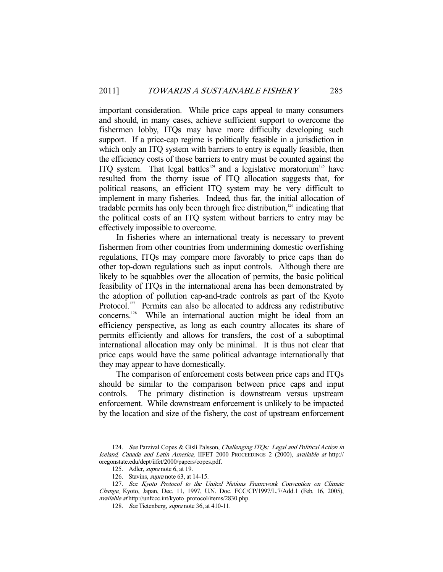important consideration. While price caps appeal to many consumers and should, in many cases, achieve sufficient support to overcome the fishermen lobby, ITQs may have more difficulty developing such support. If a price-cap regime is politically feasible in a jurisdiction in which only an ITQ system with barriers to entry is equally feasible, then the efficiency costs of those barriers to entry must be counted against the ITQ system. That legal battles<sup>124</sup> and a legislative moratorium<sup>125</sup> have resulted from the thorny issue of ITQ allocation suggests that, for political reasons, an efficient ITQ system may be very difficult to implement in many fisheries. Indeed, thus far, the initial allocation of tradable permits has only been through free distribution, $126$  indicating that the political costs of an ITQ system without barriers to entry may be effectively impossible to overcome.

 In fisheries where an international treaty is necessary to prevent fishermen from other countries from undermining domestic overfishing regulations, ITQs may compare more favorably to price caps than do other top-down regulations such as input controls. Although there are likely to be squabbles over the allocation of permits, the basic political feasibility of ITQs in the international arena has been demonstrated by the adoption of pollution cap-and-trade controls as part of the Kyoto Protocol.<sup>127</sup> Permits can also be allocated to address any redistributive concerns.<sup>128</sup> While an international auction might be ideal from an efficiency perspective, as long as each country allocates its share of permits efficiently and allows for transfers, the cost of a suboptimal international allocation may only be minimal. It is thus not clear that price caps would have the same political advantage internationally that they may appear to have domestically.

 The comparison of enforcement costs between price caps and ITQs should be similar to the comparison between price caps and input controls. The primary distinction is downstream versus upstream enforcement. While downstream enforcement is unlikely to be impacted by the location and size of the fishery, the cost of upstream enforcement

<sup>124.</sup> See Parzival Copes & Gíslí Palsson, Challenging ITQs: Legal and Political Action in Iceland, Canada and Latin America, IIFET 2000 PROCEEDINGS 2 (2000), available at http:// oregonstate.edu/dept/iifet/2000/papers/copes.pdf.

 <sup>125.</sup> Adler, supra note 6, at 19.

 <sup>126.</sup> Stavins, supra note 63, at 14-15.

 <sup>127.</sup> See Kyoto Protocol to the United Nations Framework Convention on Climate Change, Kyoto, Japan, Dec. 11, 1997, U.N. Doc. FCC/CP/1997/L.7/Add.1 (Feb. 16, 2005), available at http://unfccc.int/kyoto\_protocol/items/2830.php.

 <sup>128.</sup> See Tietenberg, supra note 36, at 410-11.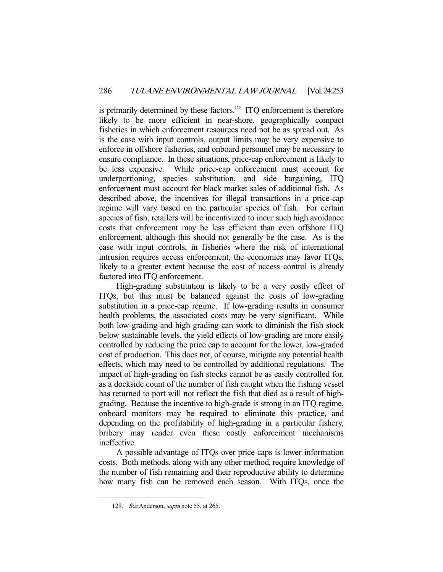is primarily determined by these factors.<sup>129</sup> ITQ enforcement is therefore likely to be more efficient in near-shore, geographically compact fisheries in which enforcement resources need not be as spread out. As is the case with input controls, output limits may be very expensive to enforce in offshore fisheries, and onboard personnel may be necessary to ensure compliance. In these situations, price-cap enforcement is likely to be less expensive. While price-cap enforcement must account for underportioning, species substitution, and side bargaining, ITQ enforcement must account for black market sales of additional fish. As described above, the incentives for illegal transactions in a price-cap regime will vary based on the particular species of fish. For certain species of fish, retailers will be incentivized to incur such high avoidance costs that enforcement may be less efficient than even offshore ITQ enforcement, although this should not generally be the case. As is the case with input controls, in fisheries where the risk of international intrusion requires access enforcement, the economics may favor ITQs, likely to a greater extent because the cost of access control is already factored into ITQ enforcement.

 High-grading substitution is likely to be a very costly effect of ITQs, but this must be balanced against the costs of low-grading substitution in a price-cap regime. If low-grading results in consumer health problems, the associated costs may be very significant. While both low-grading and high-grading can work to diminish the fish stock below sustainable levels, the yield effects of low-grading are more easily controlled by reducing the price cap to account for the lower, low-graded cost of production. This does not, of course, mitigate any potential health effects, which may need to be controlled by additional regulations. The impact of high-grading on fish stocks cannot be as easily controlled for, as a dockside count of the number of fish caught when the fishing vessel has returned to port will not reflect the fish that died as a result of highgrading. Because the incentive to high-grade is strong in an ITQ regime, onboard monitors may be required to eliminate this practice, and depending on the profitability of high-grading in a particular fishery, bribery may render even these costly enforcement mechanisms ineffective.

 A possible advantage of ITQs over price caps is lower information costs. Both methods, along with any other method, require knowledge of the number of fish remaining and their reproductive ability to determine how many fish can be removed each season. With ITQs, once the

<sup>129.</sup> See Anderson, *supra* note 55, at 265.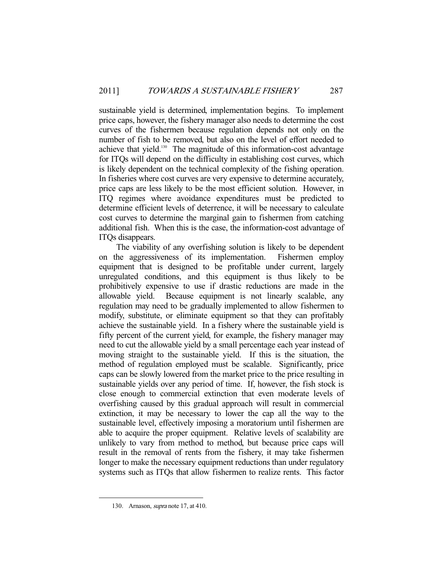sustainable yield is determined, implementation begins. To implement price caps, however, the fishery manager also needs to determine the cost curves of the fishermen because regulation depends not only on the number of fish to be removed, but also on the level of effort needed to achieve that yield.<sup>130</sup> The magnitude of this information-cost advantage for ITQs will depend on the difficulty in establishing cost curves, which is likely dependent on the technical complexity of the fishing operation. In fisheries where cost curves are very expensive to determine accurately, price caps are less likely to be the most efficient solution. However, in ITQ regimes where avoidance expenditures must be predicted to determine efficient levels of deterrence, it will be necessary to calculate cost curves to determine the marginal gain to fishermen from catching additional fish. When this is the case, the information-cost advantage of ITQs disappears.

 The viability of any overfishing solution is likely to be dependent on the aggressiveness of its implementation. Fishermen employ equipment that is designed to be profitable under current, largely unregulated conditions, and this equipment is thus likely to be prohibitively expensive to use if drastic reductions are made in the allowable yield. Because equipment is not linearly scalable, any regulation may need to be gradually implemented to allow fishermen to modify, substitute, or eliminate equipment so that they can profitably achieve the sustainable yield. In a fishery where the sustainable yield is fifty percent of the current yield, for example, the fishery manager may need to cut the allowable yield by a small percentage each year instead of moving straight to the sustainable yield. If this is the situation, the method of regulation employed must be scalable. Significantly, price caps can be slowly lowered from the market price to the price resulting in sustainable yields over any period of time. If, however, the fish stock is close enough to commercial extinction that even moderate levels of overfishing caused by this gradual approach will result in commercial extinction, it may be necessary to lower the cap all the way to the sustainable level, effectively imposing a moratorium until fishermen are able to acquire the proper equipment. Relative levels of scalability are unlikely to vary from method to method, but because price caps will result in the removal of rents from the fishery, it may take fishermen longer to make the necessary equipment reductions than under regulatory systems such as ITQs that allow fishermen to realize rents. This factor

 <sup>130.</sup> Arnason, supra note 17, at 410.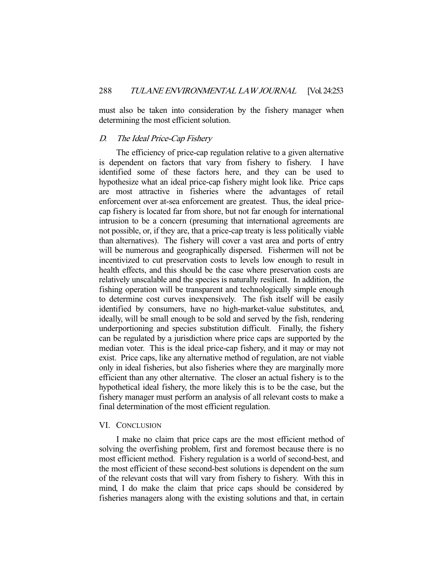must also be taken into consideration by the fishery manager when determining the most efficient solution.

# D. The Ideal Price-Cap Fishery

 The efficiency of price-cap regulation relative to a given alternative is dependent on factors that vary from fishery to fishery. I have identified some of these factors here, and they can be used to hypothesize what an ideal price-cap fishery might look like. Price caps are most attractive in fisheries where the advantages of retail enforcement over at-sea enforcement are greatest. Thus, the ideal pricecap fishery is located far from shore, but not far enough for international intrusion to be a concern (presuming that international agreements are not possible, or, if they are, that a price-cap treaty is less politically viable than alternatives). The fishery will cover a vast area and ports of entry will be numerous and geographically dispersed. Fishermen will not be incentivized to cut preservation costs to levels low enough to result in health effects, and this should be the case where preservation costs are relatively unscalable and the species is naturally resilient. In addition, the fishing operation will be transparent and technologically simple enough to determine cost curves inexpensively. The fish itself will be easily identified by consumers, have no high-market-value substitutes, and, ideally, will be small enough to be sold and served by the fish, rendering underportioning and species substitution difficult. Finally, the fishery can be regulated by a jurisdiction where price caps are supported by the median voter. This is the ideal price-cap fishery, and it may or may not exist. Price caps, like any alternative method of regulation, are not viable only in ideal fisheries, but also fisheries where they are marginally more efficient than any other alternative. The closer an actual fishery is to the hypothetical ideal fishery, the more likely this is to be the case, but the fishery manager must perform an analysis of all relevant costs to make a final determination of the most efficient regulation.

#### VI. CONCLUSION

 I make no claim that price caps are the most efficient method of solving the overfishing problem, first and foremost because there is no most efficient method. Fishery regulation is a world of second-best, and the most efficient of these second-best solutions is dependent on the sum of the relevant costs that will vary from fishery to fishery. With this in mind, I do make the claim that price caps should be considered by fisheries managers along with the existing solutions and that, in certain